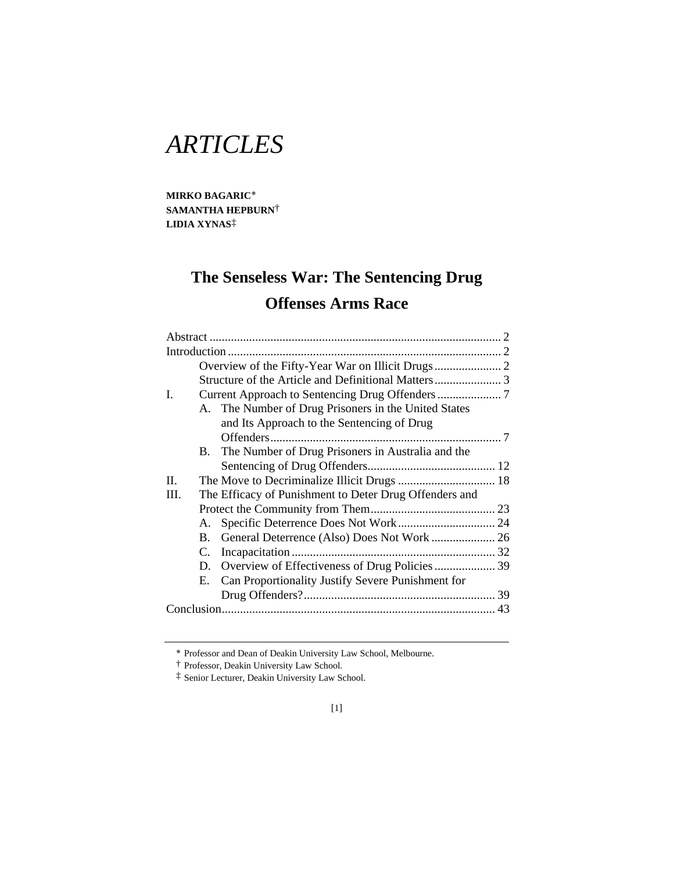# *ARTICLES*

**MIRKO BAGARIC SAMANTHA HEPBURN**† **LIDIA XYNAS**‡

## **The Senseless War: The Sentencing Drug Offenses Arms Race**

| L.<br>A. The Number of Drug Prisoners in the United States |           |                                                        |  |  |  |
|------------------------------------------------------------|-----------|--------------------------------------------------------|--|--|--|
|                                                            |           |                                                        |  |  |  |
|                                                            |           |                                                        |  |  |  |
|                                                            |           |                                                        |  |  |  |
|                                                            |           |                                                        |  |  |  |
|                                                            |           | and Its Approach to the Sentencing of Drug             |  |  |  |
|                                                            |           |                                                        |  |  |  |
|                                                            |           | B. The Number of Drug Prisoners in Australia and the   |  |  |  |
|                                                            |           |                                                        |  |  |  |
| II.                                                        |           |                                                        |  |  |  |
| III.                                                       |           | The Efficacy of Punishment to Deter Drug Offenders and |  |  |  |
|                                                            |           |                                                        |  |  |  |
|                                                            | А.        |                                                        |  |  |  |
|                                                            | <b>B.</b> |                                                        |  |  |  |
|                                                            | C.        |                                                        |  |  |  |
|                                                            |           |                                                        |  |  |  |
|                                                            | Е.        | Can Proportionality Justify Severe Punishment for      |  |  |  |
|                                                            |           |                                                        |  |  |  |
|                                                            |           |                                                        |  |  |  |
|                                                            |           |                                                        |  |  |  |

Professor and Dean of Deakin University Law School, Melbourne.

<sup>†</sup> Professor, Deakin University Law School.

<sup>‡</sup> Senior Lecturer, Deakin University Law School.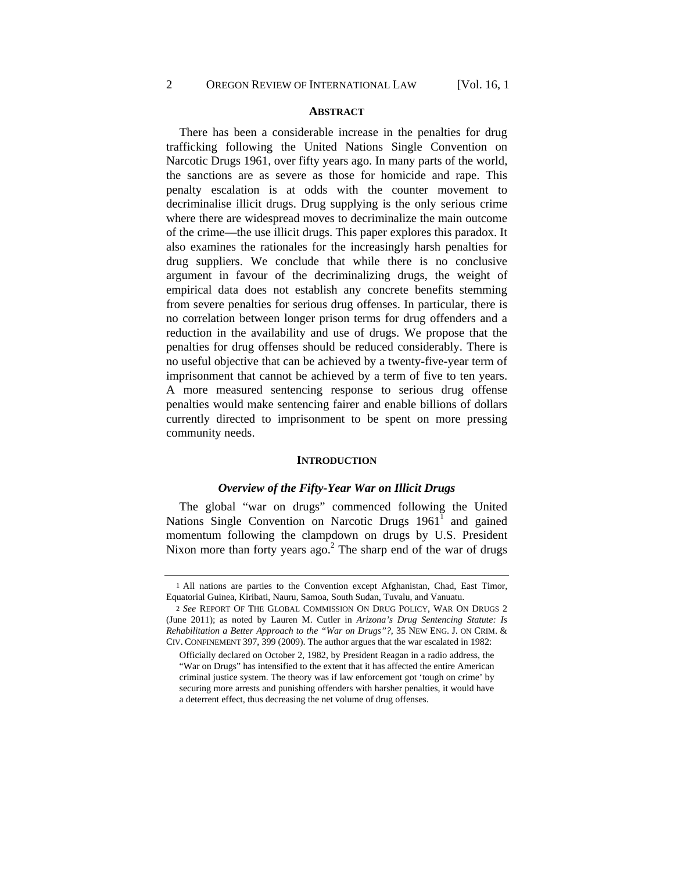## **ABSTRACT**

There has been a considerable increase in the penalties for drug trafficking following the United Nations Single Convention on Narcotic Drugs 1961, over fifty years ago. In many parts of the world, the sanctions are as severe as those for homicide and rape. This penalty escalation is at odds with the counter movement to decriminalise illicit drugs. Drug supplying is the only serious crime where there are widespread moves to decriminalize the main outcome of the crime—the use illicit drugs. This paper explores this paradox. It also examines the rationales for the increasingly harsh penalties for drug suppliers. We conclude that while there is no conclusive argument in favour of the decriminalizing drugs, the weight of empirical data does not establish any concrete benefits stemming from severe penalties for serious drug offenses. In particular, there is no correlation between longer prison terms for drug offenders and a reduction in the availability and use of drugs. We propose that the penalties for drug offenses should be reduced considerably. There is no useful objective that can be achieved by a twenty-five-year term of imprisonment that cannot be achieved by a term of five to ten years. A more measured sentencing response to serious drug offense penalties would make sentencing fairer and enable billions of dollars currently directed to imprisonment to be spent on more pressing community needs.

## **INTRODUCTION**

#### *Overview of the Fifty-Year War on Illicit Drugs*

The global "war on drugs" commenced following the United Nations Single Convention on Narcotic Drugs  $1961<sup>1</sup>$  and gained momentum following the clampdown on drugs by U.S. President Nixon more than forty years  $ago^2$ . The sharp end of the war of drugs

<sup>1</sup> All nations are parties to the Convention except Afghanistan, Chad, East Timor, Equatorial Guinea, Kiribati, Nauru, Samoa, South Sudan, Tuvalu, and Vanuatu.

<sup>2</sup> *See* REPORT OF THE GLOBAL COMMISSION ON DRUG POLICY, WAR ON DRUGS 2 (June 2011); as noted by Lauren M. Cutler in *Arizona's Drug Sentencing Statute: Is Rehabilitation a Better Approach to the "War on Drugs"?*, 35 NEW ENG. J. ON CRIM. & CIV. CONFINEMENT 397, 399 (2009). The author argues that the war escalated in 1982:

Officially declared on October 2, 1982, by President Reagan in a radio address, the "War on Drugs" has intensified to the extent that it has affected the entire American criminal justice system. The theory was if law enforcement got 'tough on crime' by securing more arrests and punishing offenders with harsher penalties, it would have a deterrent effect, thus decreasing the net volume of drug offenses.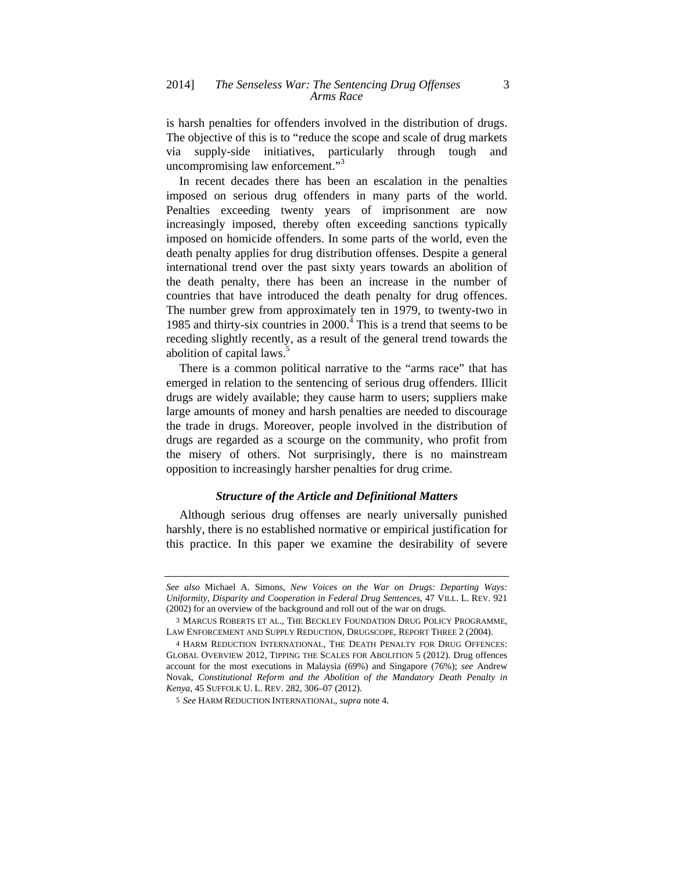is harsh penalties for offenders involved in the distribution of drugs. The objective of this is to "reduce the scope and scale of drug markets via supply-side initiatives, particularly through tough and uncompromising law enforcement."<sup>3</sup>

In recent decades there has been an escalation in the penalties imposed on serious drug offenders in many parts of the world. Penalties exceeding twenty years of imprisonment are now increasingly imposed, thereby often exceeding sanctions typically imposed on homicide offenders. In some parts of the world, even the death penalty applies for drug distribution offenses. Despite a general international trend over the past sixty years towards an abolition of the death penalty, there has been an increase in the number of countries that have introduced the death penalty for drug offences. The number grew from approximately ten in 1979, to twenty-two in 1985 and thirty-six countries in  $2000<sup>4</sup>$ . This is a trend that seems to be receding slightly recently, as a result of the general trend towards the abolition of capital laws.<sup>5</sup>

There is a common political narrative to the "arms race" that has emerged in relation to the sentencing of serious drug offenders. Illicit drugs are widely available; they cause harm to users; suppliers make large amounts of money and harsh penalties are needed to discourage the trade in drugs. Moreover, people involved in the distribution of drugs are regarded as a scourge on the community, who profit from the misery of others. Not surprisingly, there is no mainstream opposition to increasingly harsher penalties for drug crime.

## *Structure of the Article and Definitional Matters*

Although serious drug offenses are nearly universally punished harshly, there is no established normative or empirical justification for this practice. In this paper we examine the desirability of severe

*See also* Michael A. Simons, *New Voices on the War on Drugs: Departing Ways: Uniformity, Disparity and Cooperation in Federal Drug Sentences*, 47 VILL. L. REV. 921 (2002) for an overview of the background and roll out of the war on drugs.

<sup>3</sup> MARCUS ROBERTS ET AL.*,* THE BECKLEY FOUNDATION DRUG POLICY PROGRAMME, LAW ENFORCEMENT AND SUPPLY REDUCTION*,* DRUGSCOPE, REPORT THREE 2 (2004).

<sup>4</sup> HARM REDUCTION INTERNATIONAL, THE DEATH PENALTY FOR DRUG OFFENCES: GLOBAL OVERVIEW 2012, TIPPING THE SCALES FOR ABOLITION 5 (2012). Drug offences account for the most executions in Malaysia (69%) and Singapore (76%); *see* Andrew Novak, *Constitutional Reform and the Abolition of the Mandatory Death Penalty in Kenya*, 45 SUFFOLK U. L. REV. 282, 306–07 (2012).

<sup>5</sup> *See* HARM REDUCTION INTERNATIONAL, *supra* note 4.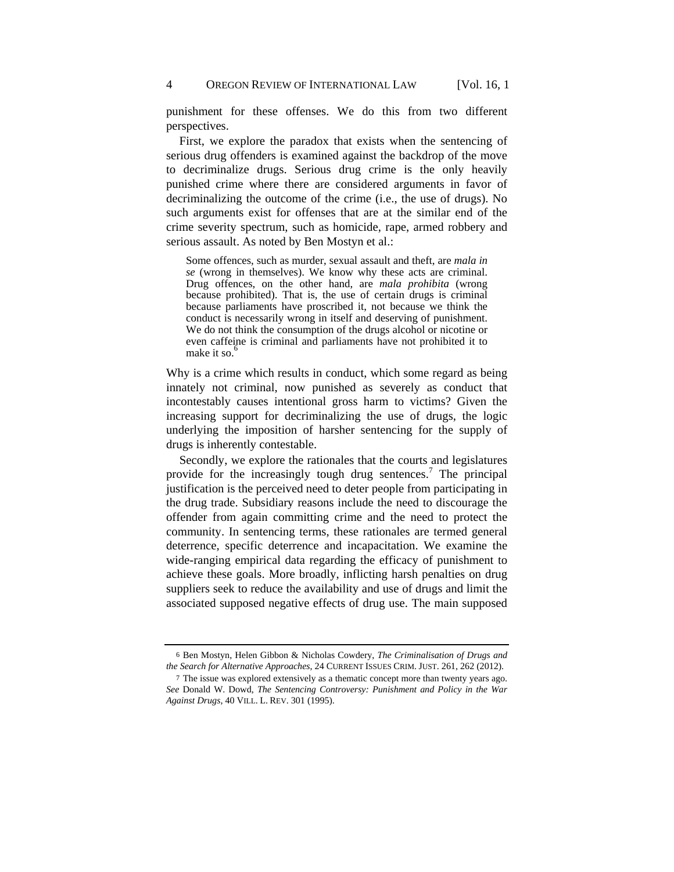punishment for these offenses. We do this from two different perspectives.

First, we explore the paradox that exists when the sentencing of serious drug offenders is examined against the backdrop of the move to decriminalize drugs. Serious drug crime is the only heavily punished crime where there are considered arguments in favor of decriminalizing the outcome of the crime (i.e., the use of drugs). No such arguments exist for offenses that are at the similar end of the crime severity spectrum, such as homicide, rape, armed robbery and serious assault. As noted by Ben Mostyn et al.:

Some offences, such as murder, sexual assault and theft, are *mala in se* (wrong in themselves). We know why these acts are criminal. Drug offences, on the other hand, are *mala prohibita* (wrong because prohibited). That is, the use of certain drugs is criminal because parliaments have proscribed it, not because we think the conduct is necessarily wrong in itself and deserving of punishment. We do not think the consumption of the drugs alcohol or nicotine or even caffeine is criminal and parliaments have not prohibited it to make it so. $<sup>6</sup>$ </sup>

Why is a crime which results in conduct, which some regard as being innately not criminal, now punished as severely as conduct that incontestably causes intentional gross harm to victims? Given the increasing support for decriminalizing the use of drugs, the logic underlying the imposition of harsher sentencing for the supply of drugs is inherently contestable.

Secondly, we explore the rationales that the courts and legislatures provide for the increasingly tough drug sentences.<sup>7</sup> The principal justification is the perceived need to deter people from participating in the drug trade. Subsidiary reasons include the need to discourage the offender from again committing crime and the need to protect the community. In sentencing terms, these rationales are termed general deterrence, specific deterrence and incapacitation. We examine the wide-ranging empirical data regarding the efficacy of punishment to achieve these goals. More broadly, inflicting harsh penalties on drug suppliers seek to reduce the availability and use of drugs and limit the associated supposed negative effects of drug use. The main supposed

<sup>6</sup> Ben Mostyn, Helen Gibbon & Nicholas Cowdery, *The Criminalisation of Drugs and the Search for Alternative Approaches*, 24 CURRENT ISSUES CRIM. JUST. 261, 262 (2012).

<sup>7</sup> The issue was explored extensively as a thematic concept more than twenty years ago. *See* Donald W. Dowd, *The Sentencing Controversy: Punishment and Policy in the War Against Drugs*, 40 VILL. L. REV. 301 (1995).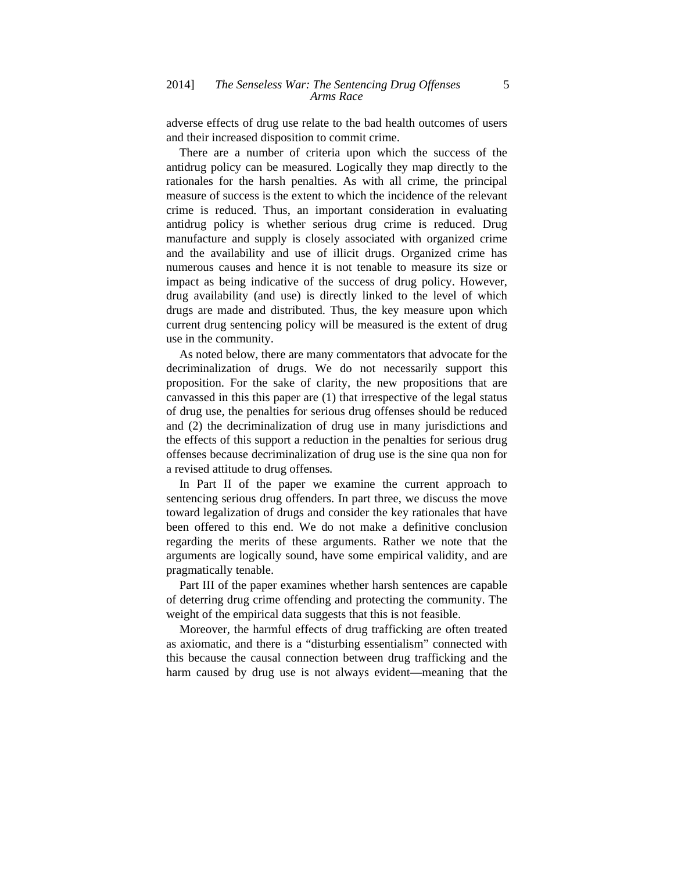adverse effects of drug use relate to the bad health outcomes of users and their increased disposition to commit crime.

There are a number of criteria upon which the success of the antidrug policy can be measured. Logically they map directly to the rationales for the harsh penalties. As with all crime, the principal measure of success is the extent to which the incidence of the relevant crime is reduced. Thus, an important consideration in evaluating antidrug policy is whether serious drug crime is reduced. Drug manufacture and supply is closely associated with organized crime and the availability and use of illicit drugs. Organized crime has numerous causes and hence it is not tenable to measure its size or impact as being indicative of the success of drug policy. However, drug availability (and use) is directly linked to the level of which drugs are made and distributed. Thus, the key measure upon which current drug sentencing policy will be measured is the extent of drug use in the community.

As noted below, there are many commentators that advocate for the decriminalization of drugs. We do not necessarily support this proposition. For the sake of clarity, the new propositions that are canvassed in this this paper are (1) that irrespective of the legal status of drug use, the penalties for serious drug offenses should be reduced and (2) the decriminalization of drug use in many jurisdictions and the effects of this support a reduction in the penalties for serious drug offenses because decriminalization of drug use is the sine qua non for a revised attitude to drug offenses*.*

In Part II of the paper we examine the current approach to sentencing serious drug offenders. In part three, we discuss the move toward legalization of drugs and consider the key rationales that have been offered to this end. We do not make a definitive conclusion regarding the merits of these arguments. Rather we note that the arguments are logically sound, have some empirical validity, and are pragmatically tenable.

Part III of the paper examines whether harsh sentences are capable of deterring drug crime offending and protecting the community. The weight of the empirical data suggests that this is not feasible.

Moreover, the harmful effects of drug trafficking are often treated as axiomatic, and there is a "disturbing essentialism" connected with this because the causal connection between drug trafficking and the harm caused by drug use is not always evident—meaning that the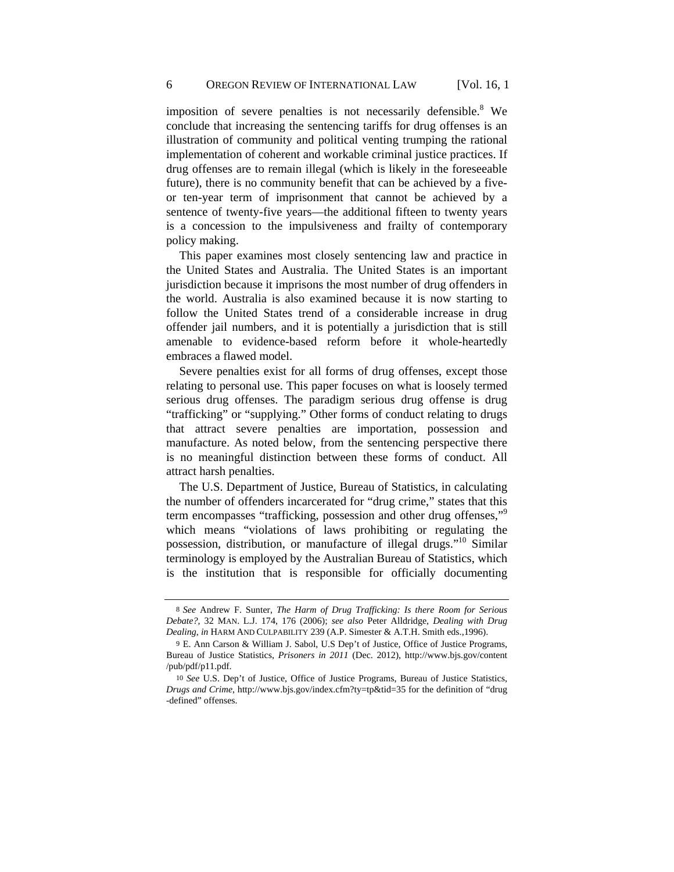imposition of severe penalties is not necessarily defensible.<sup>8</sup> We conclude that increasing the sentencing tariffs for drug offenses is an illustration of community and political venting trumping the rational implementation of coherent and workable criminal justice practices. If drug offenses are to remain illegal (which is likely in the foreseeable future), there is no community benefit that can be achieved by a fiveor ten-year term of imprisonment that cannot be achieved by a sentence of twenty-five years—the additional fifteen to twenty years is a concession to the impulsiveness and frailty of contemporary policy making.

This paper examines most closely sentencing law and practice in the United States and Australia. The United States is an important jurisdiction because it imprisons the most number of drug offenders in the world. Australia is also examined because it is now starting to follow the United States trend of a considerable increase in drug offender jail numbers, and it is potentially a jurisdiction that is still amenable to evidence-based reform before it whole-heartedly embraces a flawed model.

Severe penalties exist for all forms of drug offenses, except those relating to personal use. This paper focuses on what is loosely termed serious drug offenses. The paradigm serious drug offense is drug "trafficking" or "supplying." Other forms of conduct relating to drugs that attract severe penalties are importation, possession and manufacture. As noted below, from the sentencing perspective there is no meaningful distinction between these forms of conduct. All attract harsh penalties.

The U.S. Department of Justice, Bureau of Statistics, in calculating the number of offenders incarcerated for "drug crime," states that this term encompasses "trafficking, possession and other drug offenses,"<sup>9</sup> which means "violations of laws prohibiting or regulating the possession, distribution, or manufacture of illegal drugs."10 Similar terminology is employed by the Australian Bureau of Statistics, which is the institution that is responsible for officially documenting

<sup>8</sup> *See* Andrew F. Sunter, *The Harm of Drug Trafficking: Is there Room for Serious Debate?*, 32 MAN. L.J. 174, 176 (2006); *see also* Peter Alldridge, *Dealing with Drug Dealing*, *in* HARM AND CULPABILITY 239 (A.P. Simester & A.T.H. Smith eds.,1996).

<sup>9</sup> E. Ann Carson & William J. Sabol, U.S Dep't of Justice, Office of Justice Programs, Bureau of Justice Statistics, *Prisoners in 2011* (Dec. 2012), http://www.bjs.gov/content /pub/pdf/p11.pdf.

<sup>10</sup> *See* U.S. Dep't of Justice, Office of Justice Programs, Bureau of Justice Statistics, *Drugs and Crime*, http://www.bjs.gov/index.cfm?ty=tp&tid=35 for the definition of "drug -defined" offenses.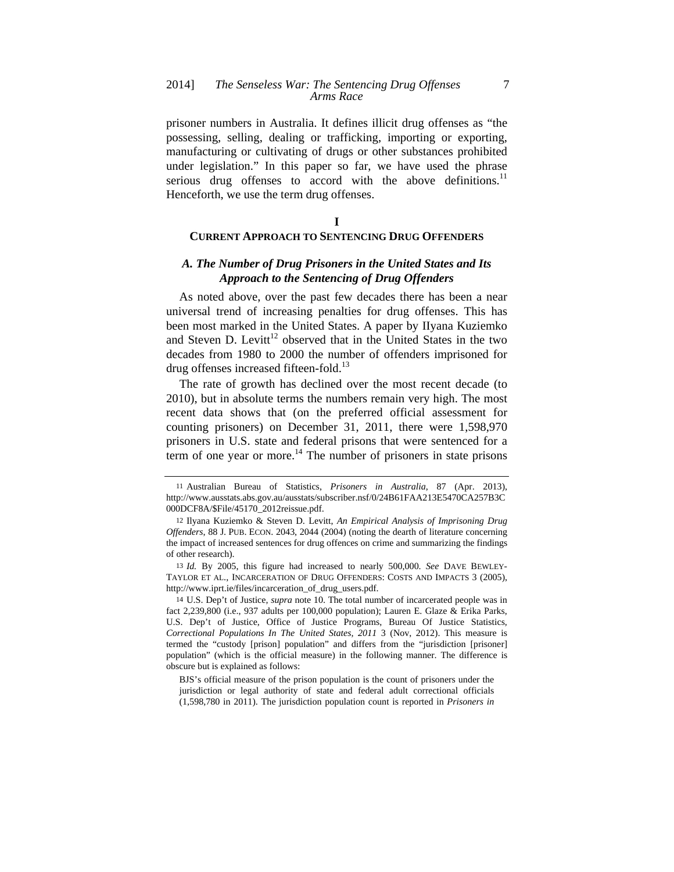prisoner numbers in Australia. It defines illicit drug offenses as "the possessing, selling, dealing or trafficking, importing or exporting, manufacturing or cultivating of drugs or other substances prohibited under legislation." In this paper so far, we have used the phrase serious drug offenses to accord with the above definitions.<sup>11</sup> Henceforth, we use the term drug offenses.

#### **I**

## **CURRENT APPROACH TO SENTENCING DRUG OFFENDERS**

## *A. The Number of Drug Prisoners in the United States and Its Approach to the Sentencing of Drug Offenders*

As noted above, over the past few decades there has been a near universal trend of increasing penalties for drug offenses. This has been most marked in the United States. A paper by IIyana Kuziemko and Steven D. Levitt<sup>12</sup> observed that in the United States in the two decades from 1980 to 2000 the number of offenders imprisoned for drug offenses increased fifteen-fold.<sup>13</sup>

The rate of growth has declined over the most recent decade (to 2010), but in absolute terms the numbers remain very high. The most recent data shows that (on the preferred official assessment for counting prisoners) on December 31, 2011, there were 1,598,970 prisoners in U.S. state and federal prisons that were sentenced for a term of one year or more.<sup>14</sup> The number of prisoners in state prisons

14 U.S. Dep't of Justice, *supra* note 10. The total number of incarcerated people was in fact 2,239,800 (i.e., 937 adults per 100,000 population); Lauren E. Glaze & Erika Parks, U.S. Dep't of Justice, Office of Justice Programs, Bureau Of Justice Statistics*, Correctional Populations In The United States, 2011* 3 (Nov, 2012). This measure is termed the "custody [prison] population" and differs from the "jurisdiction [prisoner] population" (which is the official measure) in the following manner. The difference is obscure but is explained as follows:

BJS's official measure of the prison population is the count of prisoners under the jurisdiction or legal authority of state and federal adult correctional officials (1,598,780 in 2011). The jurisdiction population count is reported in *Prisoners in* 

<sup>11</sup> Australian Bureau of Statistics, *Prisoners in Australia*, 87 (Apr. 2013), http://www.ausstats.abs.gov.au/ausstats/subscriber.nsf/0/24B61FAA213E5470CA257B3C 000DCF8A/\$File/45170\_2012reissue.pdf.

<sup>12</sup> Ilyana Kuziemko & Steven D. Levitt, *An Empirical Analysis of Imprisoning Drug Offenders*, 88 J. PUB. ECON. 2043, 2044 (2004) (noting the dearth of literature concerning the impact of increased sentences for drug offences on crime and summarizing the findings of other research).

<sup>13</sup> *Id.* By 2005, this figure had increased to nearly 500,000. *See* DAVE BEWLEY-TAYLOR ET AL., INCARCERATION OF DRUG OFFENDERS: COSTS AND IMPACTS 3 (2005), http://www.iprt.ie/files/incarceration\_of\_drug\_users.pdf.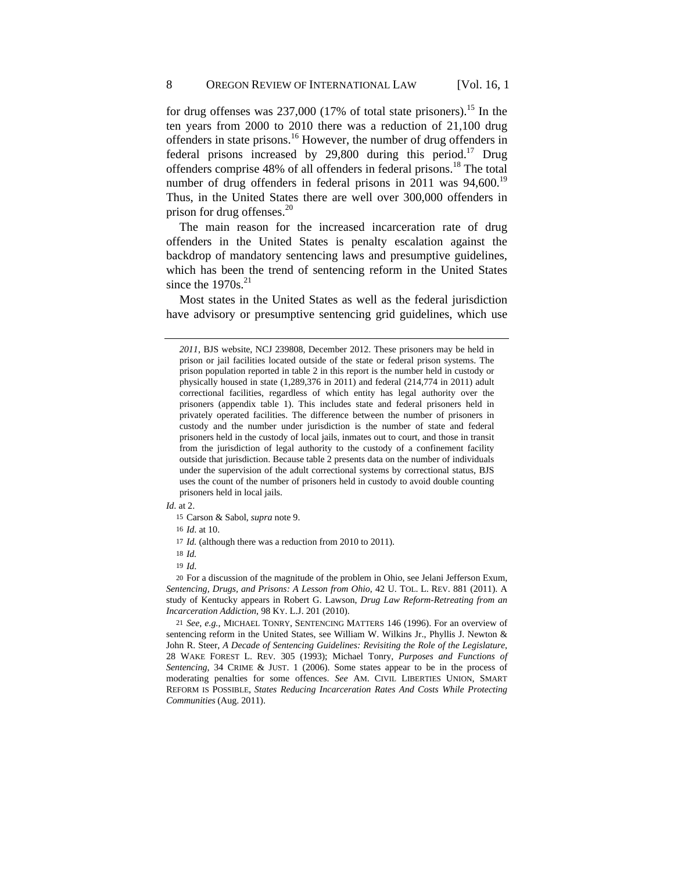for drug offenses was  $237,000$  (17% of total state prisoners).<sup>15</sup> In the ten years from 2000 to 2010 there was a reduction of 21,100 drug offenders in state prisons.<sup>16</sup> However, the number of drug offenders in federal prisons increased by 29,800 during this period.<sup>17</sup> Drug offenders comprise 48% of all offenders in federal prisons.<sup>18</sup> The total number of drug offenders in federal prisons in  $2011$  was  $94,600$ <sup>19</sup> Thus, in the United States there are well over 300,000 offenders in prison for drug offenses.<sup>20</sup>

The main reason for the increased incarceration rate of drug offenders in the United States is penalty escalation against the backdrop of mandatory sentencing laws and presumptive guidelines, which has been the trend of sentencing reform in the United States since the  $1970s^{21}$ 

Most states in the United States as well as the federal jurisdiction have advisory or presumptive sentencing grid guidelines, which use

- *Id*. at 2.
	- 15 Carson & Sabol, *supra* note 9.

16 *Id*. at 10.

17 *Id.* (although there was a reduction from 2010 to 2011).

18 *Id.*

19 *Id*.

20 For a discussion of the magnitude of the problem in Ohio, see Jelani Jefferson Exum, *Sentencing, Drugs, and Prisons: A Lesson from Ohio*, 42 U. TOL. L. REV. 881 (2011). A study of Kentucky appears in Robert G. Lawson, *Drug Law Reform-Retreating from an Incarceration Addiction*, 98 KY. L.J. 201 (2010).

21 *See, e.g.*, MICHAEL TONRY, SENTENCING MATTERS 146 (1996). For an overview of sentencing reform in the United States, see William W. Wilkins Jr., Phyllis J. Newton & John R. Steer, *A Decade of Sentencing Guidelines: Revisiting the Role of the Legislature*, 28 WAKE FOREST L. REV*.* 305 (1993); Michael Tonry, *Purposes and Functions of Sentencing*, 34 CRIME & JUST. 1 (2006). Some states appear to be in the process of moderating penalties for some offences. *See* AM. CIVIL LIBERTIES UNION, SMART REFORM IS POSSIBLE, *States Reducing Incarceration Rates And Costs While Protecting Communities* (Aug. 2011).

*<sup>2011</sup>*, BJS website, NCJ 239808, December 2012. These prisoners may be held in prison or jail facilities located outside of the state or federal prison systems. The prison population reported in table 2 in this report is the number held in custody or physically housed in state (1,289,376 in 2011) and federal (214,774 in 2011) adult correctional facilities, regardless of which entity has legal authority over the prisoners (appendix table 1). This includes state and federal prisoners held in privately operated facilities. The difference between the number of prisoners in custody and the number under jurisdiction is the number of state and federal prisoners held in the custody of local jails, inmates out to court, and those in transit from the jurisdiction of legal authority to the custody of a confinement facility outside that jurisdiction. Because table 2 presents data on the number of individuals under the supervision of the adult correctional systems by correctional status, BJS uses the count of the number of prisoners held in custody to avoid double counting prisoners held in local jails.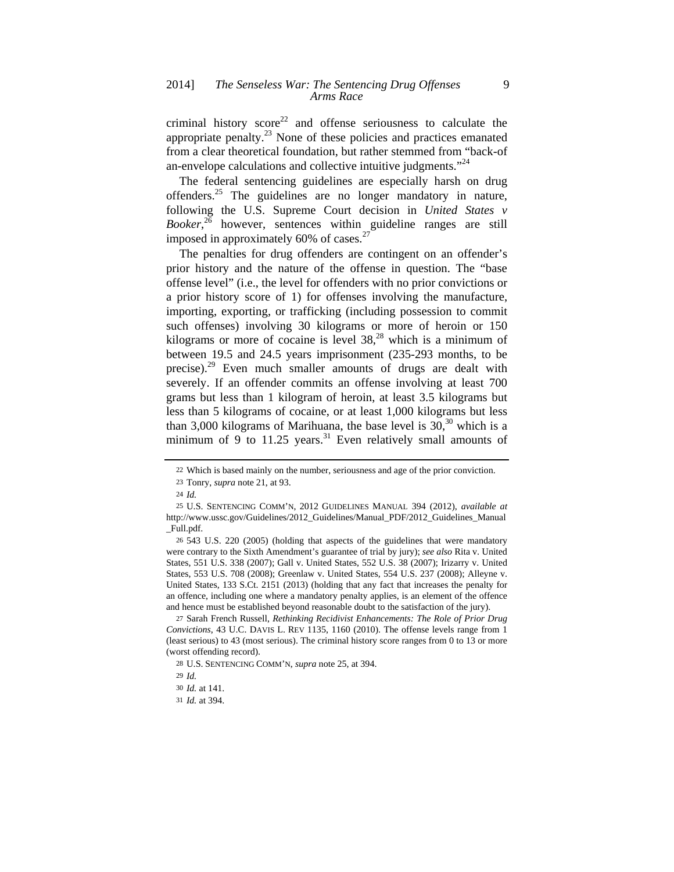criminal history  $score^{22}$  and offense seriousness to calculate the appropriate penalty. $^{23}$  None of these policies and practices emanated from a clear theoretical foundation, but rather stemmed from "back-of an-envelope calculations and collective intuitive judgments."<sup>24</sup>

The federal sentencing guidelines are especially harsh on drug offenders.25 The guidelines are no longer mandatory in nature, following the U.S. Supreme Court decision in *United States v Booker*, 26 however, sentences within guideline ranges are still imposed in approximately 60% of cases. $27$ 

The penalties for drug offenders are contingent on an offender's prior history and the nature of the offense in question. The "base offense level" (i.e., the level for offenders with no prior convictions or a prior history score of 1) for offenses involving the manufacture, importing, exporting, or trafficking (including possession to commit such offenses) involving 30 kilograms or more of heroin or 150 kilograms or more of cocaine is level  $38<sup>28</sup>$  which is a minimum of between 19.5 and 24.5 years imprisonment (235-293 months, to be precise).<sup>29</sup> Even much smaller amounts of drugs are dealt with severely. If an offender commits an offense involving at least 700 grams but less than 1 kilogram of heroin, at least 3.5 kilograms but less than 5 kilograms of cocaine, or at least 1,000 kilograms but less than 3,000 kilograms of Marihuana, the base level is  $30<sup>30</sup>$  which is a minimum of 9 to 11.25 years.<sup>31</sup> Even relatively small amounts of

<sup>22</sup> Which is based mainly on the number, seriousness and age of the prior conviction.

<sup>23</sup> Tonry, *supra* note 21, at 93.

<sup>24</sup> *Id.*

<sup>25</sup> U.S. SENTENCING COMM'N, 2012 GUIDELINES MANUAL 394 (2012), *available at* http://www.ussc.gov/Guidelines/2012\_Guidelines/Manual\_PDF/2012\_Guidelines\_Manual \_Full.pdf.

<sup>26</sup> 543 U.S. 220 (2005) (holding that aspects of the guidelines that were mandatory were contrary to the Sixth Amendment's guarantee of trial by jury); *see also* Rita v. United States, 551 U.S. 338 (2007); Gall v. United States, 552 U.S. 38 (2007); Irizarry v. United States, 553 U.S. 708 (2008); Greenlaw v. United States, 554 U.S. 237 (2008); Alleyne v. United States, 133 S.Ct. 2151 (2013) (holding that any fact that increases the penalty for an offence, including one where a mandatory penalty applies, is an element of the offence and hence must be established beyond reasonable doubt to the satisfaction of the jury).

<sup>27</sup> Sarah French Russell, *Rethinking Recidivist Enhancements: The Role of Prior Drug Convictions*, 43 U.C. DAVIS L. REV 1135, 1160 (2010). The offense levels range from 1 (least serious) to 43 (most serious). The criminal history score ranges from 0 to 13 or more (worst offending record).

<sup>28</sup> U.S. SENTENCING COMM'N, *supra* note 25, at 394.

<sup>29</sup> *Id.*

<sup>30</sup> *Id.* at 141.

<sup>31</sup> *Id.* at 394.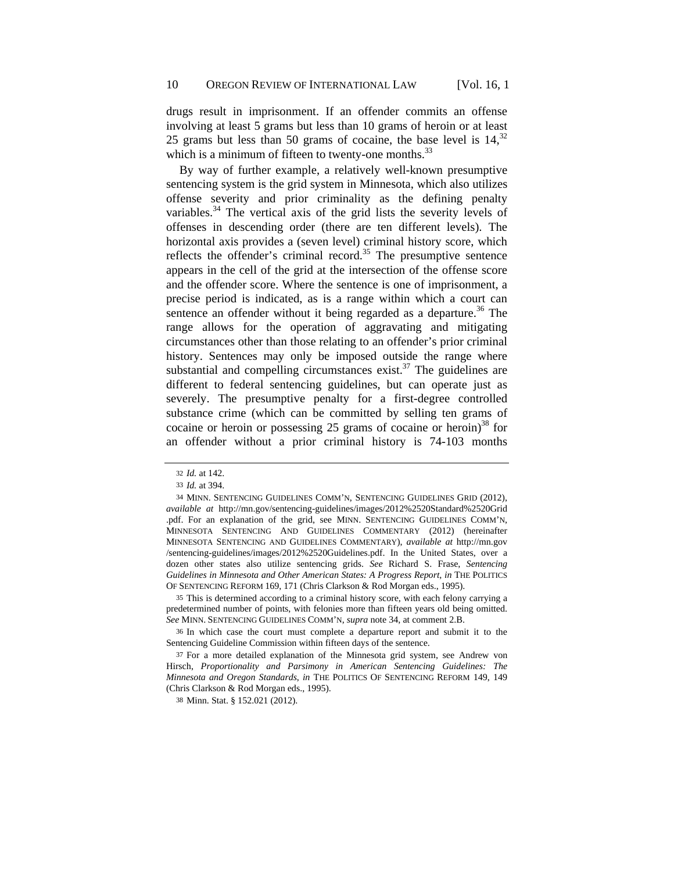drugs result in imprisonment. If an offender commits an offense involving at least 5 grams but less than 10 grams of heroin or at least 25 grams but less than 50 grams of cocaine, the base level is  $14$ ,  $32$ which is a minimum of fifteen to twenty-one months. $33$ 

By way of further example, a relatively well-known presumptive sentencing system is the grid system in Minnesota, which also utilizes offense severity and prior criminality as the defining penalty variables. $34$  The vertical axis of the grid lists the severity levels of offenses in descending order (there are ten different levels). The horizontal axis provides a (seven level) criminal history score, which reflects the offender's criminal record.<sup>35</sup> The presumptive sentence appears in the cell of the grid at the intersection of the offense score and the offender score. Where the sentence is one of imprisonment, a precise period is indicated, as is a range within which a court can sentence an offender without it being regarded as a departure.<sup>36</sup> The range allows for the operation of aggravating and mitigating circumstances other than those relating to an offender's prior criminal history. Sentences may only be imposed outside the range where substantial and compelling circumstances exist. $37$  The guidelines are different to federal sentencing guidelines, but can operate just as severely. The presumptive penalty for a first-degree controlled substance crime (which can be committed by selling ten grams of cocaine or heroin or possessing 25 grams of cocaine or heroin)<sup>38</sup> for an offender without a prior criminal history is 74-103 months

35 This is determined according to a criminal history score, with each felony carrying a predetermined number of points, with felonies more than fifteen years old being omitted. *See* MINN. SENTENCING GUIDELINES COMM'N, *supra* note 34, at comment 2.B.

36 In which case the court must complete a departure report and submit it to the Sentencing Guideline Commission within fifteen days of the sentence.

37 For a more detailed explanation of the Minnesota grid system, see Andrew von Hirsch, *Proportionality and Parsimony in American Sentencing Guidelines: The Minnesota and Oregon Standards*, *in* THE POLITICS OF SENTENCING REFORM 149, 149 (Chris Clarkson & Rod Morgan eds., 1995).

38 Minn. Stat. § 152.021 (2012).

<sup>32</sup> *Id.* at 142.

<sup>33</sup> *Id.* at 394.

<sup>34</sup> MINN. SENTENCING GUIDELINES COMM'N, SENTENCING GUIDELINES GRID (2012), *available at* http://mn.gov/sentencing-guidelines/images/2012%2520Standard%2520Grid .pdf. For an explanation of the grid, see MINN. SENTENCING GUIDELINES COMM'N, MINNESOTA SENTENCING AND GUIDELINES COMMENTARY (2012) (hereinafter MINNESOTA SENTENCING AND GUIDELINES COMMENTARY), *available at* http://mn.gov /sentencing-guidelines/images/2012%2520Guidelines.pdf. In the United States, over a dozen other states also utilize sentencing grids. *See* Richard S. Frase, *Sentencing Guidelines in Minnesota and Other American States: A Progress Report*, *in* THE POLITICS OF SENTENCING REFORM 169, 171 (Chris Clarkson & Rod Morgan eds., 1995).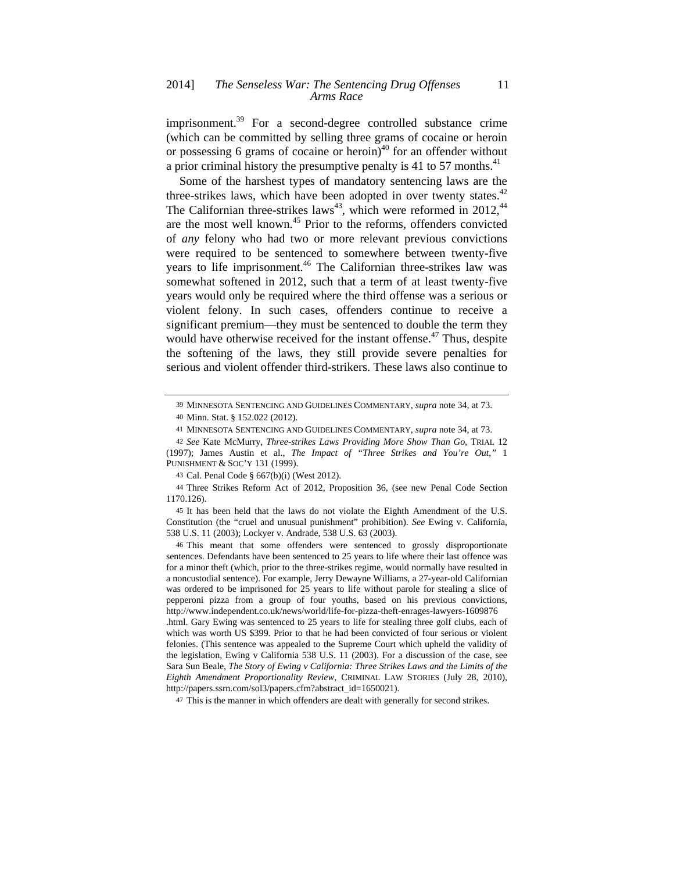imprisonment.<sup>39</sup> For a second-degree controlled substance crime (which can be committed by selling three grams of cocaine or heroin or possessing 6 grams of cocaine or heroin) $40$  for an offender without a prior criminal history the presumptive penalty is 41 to 57 months.<sup>41</sup>

Some of the harshest types of mandatory sentencing laws are the three-strikes laws, which have been adopted in over twenty states. $42$ The Californian three-strikes laws<sup>43</sup>, which were reformed in 2012,<sup>44</sup> are the most well known.<sup>45</sup> Prior to the reforms, offenders convicted of *any* felony who had two or more relevant previous convictions were required to be sentenced to somewhere between twenty-five years to life imprisonment.<sup>46</sup> The Californian three-strikes law was somewhat softened in 2012, such that a term of at least twenty-five years would only be required where the third offense was a serious or violent felony. In such cases, offenders continue to receive a significant premium—they must be sentenced to double the term they would have otherwise received for the instant offense.<sup>47</sup> Thus, despite the softening of the laws, they still provide severe penalties for serious and violent offender third-strikers. These laws also continue to

46 This meant that some offenders were sentenced to grossly disproportionate sentences. Defendants have been sentenced to 25 years to life where their last offence was for a minor theft (which, prior to the three-strikes regime, would normally have resulted in a noncustodial sentence). For example, Jerry Dewayne Williams, a 27-year-old Californian was ordered to be imprisoned for 25 years to life without parole for stealing a slice of pepperoni pizza from a group of four youths, based on his previous convictions, http://www.independent.co.uk/news/world/life-for-pizza-theft-enrages-lawyers-1609876 .html. Gary Ewing was sentenced to 25 years to life for stealing three golf clubs, each of which was worth US \$399. Prior to that he had been convicted of four serious or violent felonies. (This sentence was appealed to the Supreme Court which upheld the validity of the legislation, Ewing v California 538 U.S. 11 (2003). For a discussion of the case, see

Sara Sun Beale, *The Story of Ewing v California: Three Strikes Laws and the Limits of the Eighth Amendment Proportionality Review*, CRIMINAL LAW STORIES (July 28, 2010), http://papers.ssrn.com/sol3/papers.cfm?abstract\_id=1650021).

47 This is the manner in which offenders are dealt with generally for second strikes.

<sup>39</sup> MINNESOTA SENTENCING AND GUIDELINES COMMENTARY, *supra* note 34, at 73.

<sup>40</sup> Minn. Stat. § 152.022 (2012).

<sup>41</sup> MINNESOTA SENTENCING AND GUIDELINES COMMENTARY, *supra* note 34, at 73.

<sup>42</sup> *See* Kate McMurry, *Three-strikes Laws Providing More Show Than Go*, TRIAL 12 (1997); James Austin et al., *The Impact of "Three Strikes and You're Out*,*"* 1 PUNISHMENT & SOC'Y 131 (1999).

<sup>43</sup> Cal. Penal Code § 667(b)(i) (West 2012).

<sup>44</sup> Three Strikes Reform Act of 2012, Proposition 36, (see new Penal Code Section 1170.126).

<sup>45</sup> It has been held that the laws do not violate the Eighth Amendment of the U.S. Constitution (the "cruel and unusual punishment" prohibition). *See* Ewing v. California, 538 U.S. 11 (2003); Lockyer v. Andrade, 538 U.S. 63 (2003).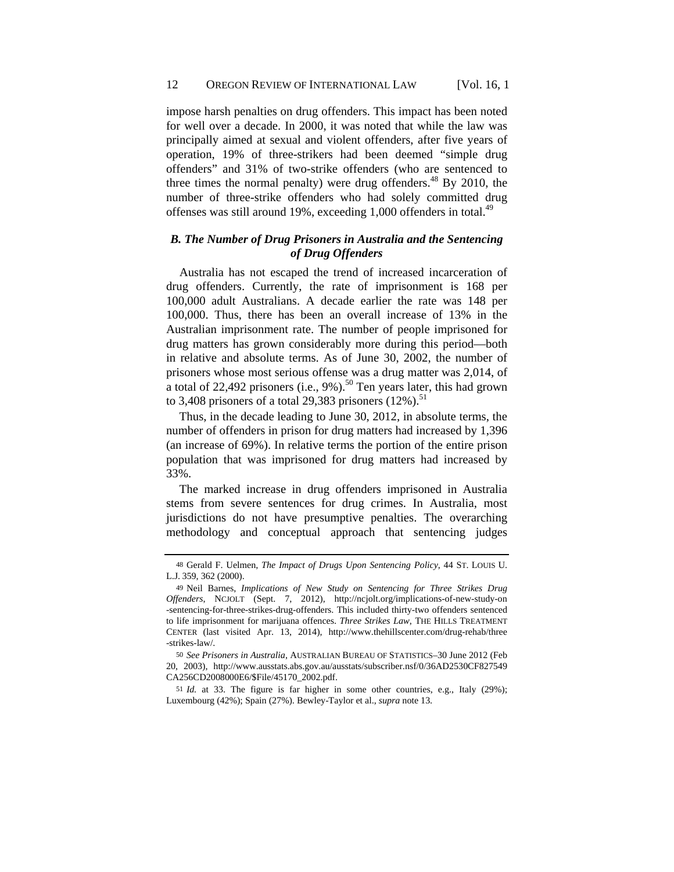impose harsh penalties on drug offenders. This impact has been noted for well over a decade. In 2000, it was noted that while the law was principally aimed at sexual and violent offenders, after five years of operation, 19% of three-strikers had been deemed "simple drug offenders" and 31% of two-strike offenders (who are sentenced to three times the normal penalty) were drug offenders.<sup>48</sup> By 2010, the number of three-strike offenders who had solely committed drug offenses was still around 19%, exceeding  $1,000$  offenders in total.<sup>49</sup>

## *B. The Number of Drug Prisoners in Australia and the Sentencing of Drug Offenders*

Australia has not escaped the trend of increased incarceration of drug offenders. Currently, the rate of imprisonment is 168 per 100,000 adult Australians. A decade earlier the rate was 148 per 100,000. Thus, there has been an overall increase of 13% in the Australian imprisonment rate. The number of people imprisoned for drug matters has grown considerably more during this period—both in relative and absolute terms. As of June 30, 2002, the number of prisoners whose most serious offense was a drug matter was 2,014, of a total of 22,492 prisoners (i.e.,  $9\%$ ).<sup>50</sup> Ten years later, this had grown to 3,408 prisoners of a total 29,383 prisoners  $(12\%)$ .<sup>51</sup>

Thus, in the decade leading to June 30, 2012, in absolute terms, the number of offenders in prison for drug matters had increased by 1,396 (an increase of 69%). In relative terms the portion of the entire prison population that was imprisoned for drug matters had increased by 33%.

The marked increase in drug offenders imprisoned in Australia stems from severe sentences for drug crimes. In Australia, most jurisdictions do not have presumptive penalties. The overarching methodology and conceptual approach that sentencing judges

<sup>48</sup> Gerald F. Uelmen, *The Impact of Drugs Upon Sentencing Policy*, 44 ST. LOUIS U. L.J. 359, 362 (2000).

<sup>49</sup> Neil Barnes, *Implications of New Study on Sentencing for Three Strikes Drug Offenders*, NCJOLT (Sept. 7, 2012), http://ncjolt.org/implications-of-new-study-on -sentencing-for-three-strikes-drug-offenders. This included thirty-two offenders sentenced to life imprisonment for marijuana offences. *Three Strikes Law*, THE HILLS TREATMENT CENTER (last visited Apr. 13, 2014), http://www.thehillscenter.com/drug-rehab/three -strikes-law/.

<sup>50</sup> *See Prisoners in Australia*, AUSTRALIAN BUREAU OF STATISTICS*–*30 June 2012 (Feb 20, 2003), http://www.ausstats.abs.gov.au/ausstats/subscriber.nsf/0/36AD2530CF827549 CA256CD2008000E6/\$File/45170\_2002.pdf.

<sup>51</sup> *Id.* at 33. The figure is far higher in some other countries, e.g., Italy (29%); Luxembourg (42%); Spain (27%). Bewley-Taylor et al., *supra* note 13.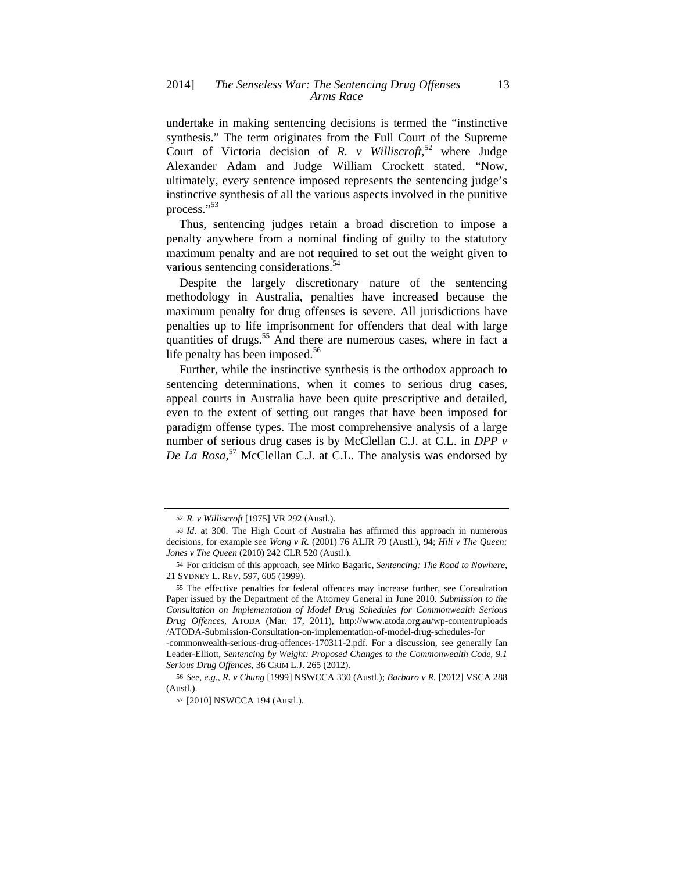undertake in making sentencing decisions is termed the "instinctive synthesis." The term originates from the Full Court of the Supreme Court of Victoria decision of *R. v Williscroft*, 52 where Judge Alexander Adam and Judge William Crockett stated, "Now, ultimately, every sentence imposed represents the sentencing judge's instinctive synthesis of all the various aspects involved in the punitive process."<sup>53</sup>

Thus, sentencing judges retain a broad discretion to impose a penalty anywhere from a nominal finding of guilty to the statutory maximum penalty and are not required to set out the weight given to various sentencing considerations.<sup>54</sup>

Despite the largely discretionary nature of the sentencing methodology in Australia, penalties have increased because the maximum penalty for drug offenses is severe. All jurisdictions have penalties up to life imprisonment for offenders that deal with large quantities of drugs.<sup>55</sup> And there are numerous cases, where in fact a life penalty has been imposed. $56$ 

Further, while the instinctive synthesis is the orthodox approach to sentencing determinations, when it comes to serious drug cases, appeal courts in Australia have been quite prescriptive and detailed, even to the extent of setting out ranges that have been imposed for paradigm offense types. The most comprehensive analysis of a large number of serious drug cases is by McClellan C.J. at C.L. in *DPP v De La Rosa*, 57 McClellan C.J. at C.L. The analysis was endorsed by

<sup>52</sup> *R. v Williscroft* [1975] VR 292 (Austl.).

<sup>53</sup> *Id*. at 300. The High Court of Australia has affirmed this approach in numerous decisions, for example see *Wong v R.* (2001) 76 ALJR 79 (Austl.), 94; *Hili v The Queen; Jones v The Queen* (2010) 242 CLR 520 (Austl.).

<sup>54</sup> For criticism of this approach, see Mirko Bagaric, *Sentencing: The Road to Nowhere*, 21 SYDNEY L. REV. 597, 605 (1999).

<sup>55</sup> The effective penalties for federal offences may increase further, see Consultation Paper issued by the Department of the Attorney General in June 2010. *Submission to the Consultation on Implementation of Model Drug Schedules for Commonwealth Serious Drug Offences*, ATODA (Mar. 17, 2011), http://www.atoda.org.au/wp-content/uploads /ATODA-Submission-Consultation-on-implementation-of-model-drug-schedules-for

<sup>-</sup>commonwealth-serious-drug-offences-170311-2.pdf. For a discussion, see generally Ian Leader-Elliott, *Sentencing by Weight: Proposed Changes to the Commonwealth Code, 9.1 Serious Drug Offences*, 36 CRIM L.J. 265 (2012).

<sup>56</sup> *See, e.g.*, *R. v Chung* [1999] NSWCCA 330 (Austl.); *Barbaro v R.* [2012] VSCA 288 (Austl.).

<sup>57</sup> [2010] NSWCCA 194 (Austl.).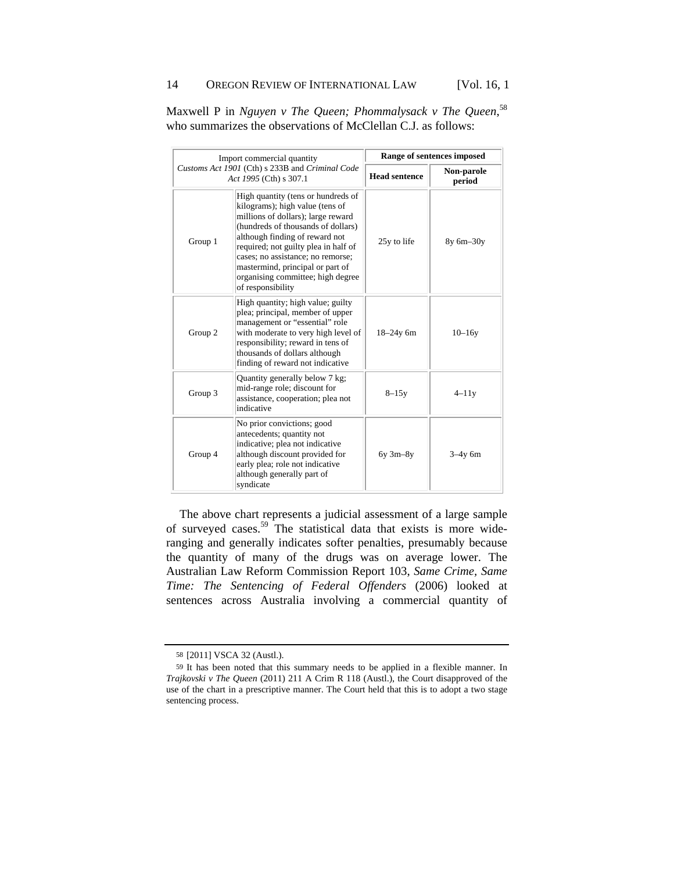|         | Import commercial quantity                                                                                                                                                                                                                                                                                                                                     | Range of sentences imposed |                      |
|---------|----------------------------------------------------------------------------------------------------------------------------------------------------------------------------------------------------------------------------------------------------------------------------------------------------------------------------------------------------------------|----------------------------|----------------------|
|         | Customs Act 1901 (Cth) s 233B and Criminal Code<br>Act 1995 (Cth) s 307.1                                                                                                                                                                                                                                                                                      | <b>Head sentence</b>       | Non-parole<br>period |
| Group 1 | High quantity (tens or hundreds of<br>kilograms); high value (tens of<br>millions of dollars); large reward<br>(hundreds of thousands of dollars)<br>although finding of reward not<br>required; not guilty plea in half of<br>cases; no assistance; no remorse;<br>mastermind, principal or part of<br>organising committee; high degree<br>of responsibility | 25y to life                | 8y 6m-30y            |
| Group 2 | High quantity; high value; guilty<br>plea; principal, member of upper<br>management or "essential" role<br>with moderate to very high level of<br>responsibility; reward in tens of<br>thousands of dollars although<br>finding of reward not indicative                                                                                                       | $18 - 24y$ 6m              | $10 - 16y$           |
| Group 3 | Quantity generally below 7 kg;<br>mid-range role; discount for<br>assistance, cooperation; plea not<br>indicative                                                                                                                                                                                                                                              | $8 - 15y$                  | $4-11y$              |
| Group 4 | No prior convictions; good<br>antecedents; quantity not<br>indicative; plea not indicative<br>although discount provided for<br>early plea; role not indicative<br>although generally part of<br>syndicate                                                                                                                                                     | $6y$ 3m $-8y$              | $3-4y$ 6m            |

Maxwell P in *Nguyen v The Queen; Phommalysack v The Queen*, 58 who summarizes the observations of McClellan C.J. as follows:

The above chart represents a judicial assessment of a large sample of surveyed cases.<sup>59</sup> The statistical data that exists is more wideranging and generally indicates softer penalties, presumably because the quantity of many of the drugs was on average lower. The Australian Law Reform Commission Report 103, *Same Crime, Same Time: The Sentencing of Federal Offenders* (2006) looked at sentences across Australia involving a commercial quantity of

<sup>58</sup> [2011] VSCA 32 (Austl.).

<sup>59</sup> It has been noted that this summary needs to be applied in a flexible manner. In *Trajkovski v The Queen* (2011) 211 A Crim R 118 (Austl.), the Court disapproved of the use of the chart in a prescriptive manner. The Court held that this is to adopt a two stage sentencing process.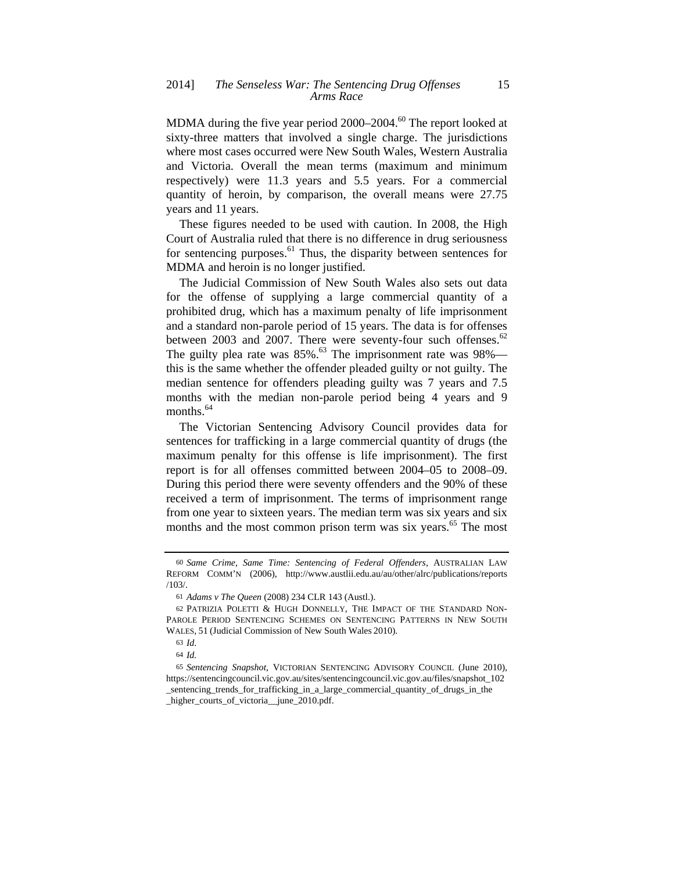MDMA during the five year period  $2000-2004$ .<sup>60</sup> The report looked at sixty-three matters that involved a single charge. The jurisdictions where most cases occurred were New South Wales, Western Australia and Victoria. Overall the mean terms (maximum and minimum respectively) were 11.3 years and 5.5 years. For a commercial quantity of heroin, by comparison, the overall means were 27.75 years and 11 years.

These figures needed to be used with caution. In 2008, the High Court of Australia ruled that there is no difference in drug seriousness for sentencing purposes.<sup>61</sup> Thus, the disparity between sentences for MDMA and heroin is no longer justified.

The Judicial Commission of New South Wales also sets out data for the offense of supplying a large commercial quantity of a prohibited drug, which has a maximum penalty of life imprisonment and a standard non-parole period of 15 years. The data is for offenses between 2003 and 2007. There were seventy-four such offenses. $62$ The guilty plea rate was  $85\%$ .<sup>63</sup> The imprisonment rate was  $98\%$  this is the same whether the offender pleaded guilty or not guilty. The median sentence for offenders pleading guilty was 7 years and 7.5 months with the median non-parole period being 4 years and 9 months.<sup>64</sup>

The Victorian Sentencing Advisory Council provides data for sentences for trafficking in a large commercial quantity of drugs (the maximum penalty for this offense is life imprisonment). The first report is for all offenses committed between 2004–05 to 2008–09. During this period there were seventy offenders and the 90% of these received a term of imprisonment. The terms of imprisonment range from one year to sixteen years. The median term was six years and six months and the most common prison term was six years.<sup>65</sup> The most

<sup>60</sup> *Same Crime, Same Time: Sentencing of Federal Offenders*, AUSTRALIAN LAW REFORM COMM'N (2006), http://www.austlii.edu.au/au/other/alrc/publications/reports /103/.

<sup>61</sup> *Adams v The Queen* (2008) 234 CLR 143 (Austl.).

<sup>62</sup> PATRIZIA POLETTI & HUGH DONNELLY, THE IMPACT OF THE STANDARD NON-PAROLE PERIOD SENTENCING SCHEMES ON SENTENCING PATTERNS IN NEW SOUTH WALES, 51 (Judicial Commission of New South Wales 2010).

<sup>63</sup> *Id*.

<sup>64</sup> *Id.*

<sup>65</sup> *Sentencing Snapshot*, VICTORIAN SENTENCING ADVISORY COUNCIL (June 2010), https://sentencingcouncil.vic.gov.au/sites/sentencingcouncil.vic.gov.au/files/snapshot\_102 \_sentencing\_trends\_for\_trafficking\_in\_a\_large\_commercial\_quantity\_of\_drugs\_in\_the

higher\_courts\_of\_victoria\_\_june\_2010.pdf.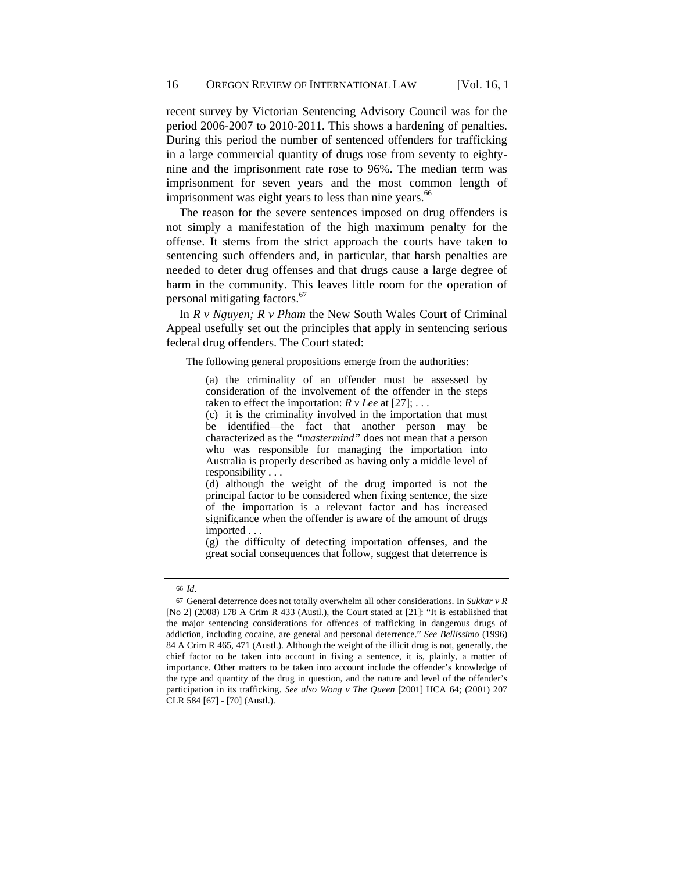recent survey by Victorian Sentencing Advisory Council was for the period 2006-2007 to 2010-2011. This shows a hardening of penalties. During this period the number of sentenced offenders for trafficking in a large commercial quantity of drugs rose from seventy to eightynine and the imprisonment rate rose to 96%. The median term was imprisonment for seven years and the most common length of imprisonment was eight years to less than nine years.<sup>66</sup>

The reason for the severe sentences imposed on drug offenders is not simply a manifestation of the high maximum penalty for the offense. It stems from the strict approach the courts have taken to sentencing such offenders and, in particular, that harsh penalties are needed to deter drug offenses and that drugs cause a large degree of harm in the community. This leaves little room for the operation of personal mitigating factors.<sup>67</sup>

In *R v Nguyen; R v Pham* the New South Wales Court of Criminal Appeal usefully set out the principles that apply in sentencing serious federal drug offenders. The Court stated:

The following general propositions emerge from the authorities:

(a) the criminality of an offender must be assessed by consideration of the involvement of the offender in the steps taken to effect the importation:  $R$   $\nu$  *Lee* at [27]; ...

(c) it is the criminality involved in the importation that must be identified—the fact that another person may be characterized as the *"mastermind"* does not mean that a person who was responsible for managing the importation into Australia is properly described as having only a middle level of responsibility . . .

(d) although the weight of the drug imported is not the principal factor to be considered when fixing sentence, the size of the importation is a relevant factor and has increased significance when the offender is aware of the amount of drugs imported . . .

(g) the difficulty of detecting importation offenses, and the great social consequences that follow, suggest that deterrence is

<sup>66</sup> *Id*.

<sup>67</sup> General deterrence does not totally overwhelm all other considerations. In *Sukkar v R* [No 2] (2008) 178 A Crim R 433 (Austl.), the Court stated at [21]: "It is established that the major sentencing considerations for offences of trafficking in dangerous drugs of addiction, including cocaine, are general and personal deterrence." *See Bellissimo* (1996) 84 A Crim R 465, 471 (Austl.). Although the weight of the illicit drug is not, generally, the chief factor to be taken into account in fixing a sentence, it is, plainly, a matter of importance. Other matters to be taken into account include the offender's knowledge of the type and quantity of the drug in question, and the nature and level of the offender's participation in its trafficking. *See also Wong v The Queen* [2001] HCA 64; (2001) 207 CLR 584 [67] - [70] (Austl.).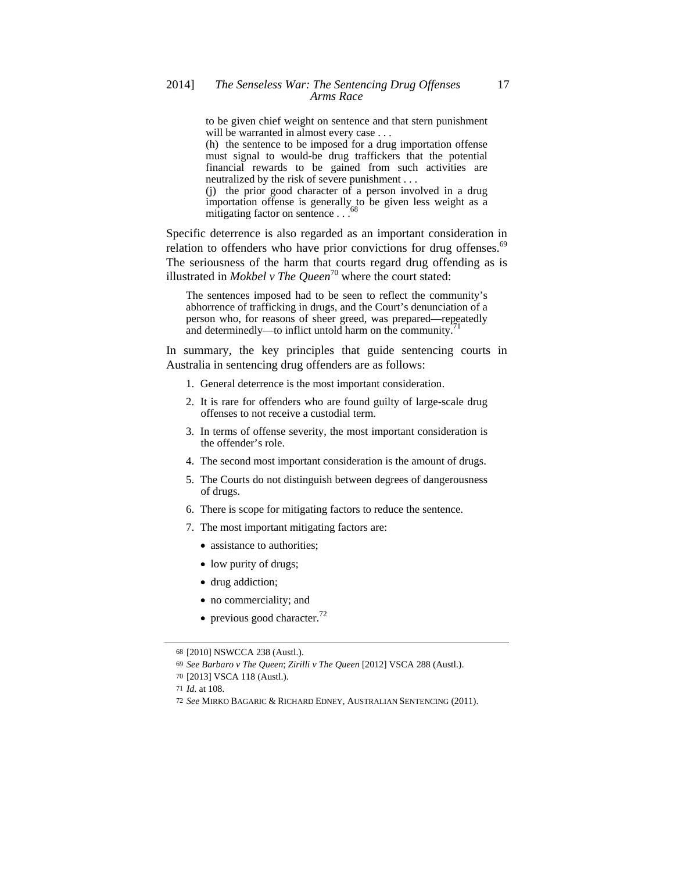to be given chief weight on sentence and that stern punishment will be warranted in almost every case . . . (h) the sentence to be imposed for a drug importation offense must signal to would-be drug traffickers that the potential

financial rewards to be gained from such activities are neutralized by the risk of severe punishment . . . (j) the prior good character of a person involved in a drug

importation offense is generally to be given less weight as a mitigating factor on sentence  $\ldots$ <sup>68</sup>

Specific deterrence is also regarded as an important consideration in relation to offenders who have prior convictions for drug offenses.<sup>69</sup> The seriousness of the harm that courts regard drug offending as is illustrated in *Mokbel v The Queen*<sup>70</sup> where the court stated:

The sentences imposed had to be seen to reflect the community's abhorrence of trafficking in drugs, and the Court's denunciation of a person who, for reasons of sheer greed, was prepared—repeatedly and determinedly—to inflict untold harm on the community.

In summary, the key principles that guide sentencing courts in Australia in sentencing drug offenders are as follows:

- 1. General deterrence is the most important consideration.
- 2. It is rare for offenders who are found guilty of large-scale drug offenses to not receive a custodial term.
- 3. In terms of offense severity, the most important consideration is the offender's role.
- 4. The second most important consideration is the amount of drugs.
- 5. The Courts do not distinguish between degrees of dangerousness of drugs.
- 6. There is scope for mitigating factors to reduce the sentence.
- 7. The most important mitigating factors are:
	- assistance to authorities;
	- low purity of drugs;
	- drug addiction;
	- no commerciality; and
	- previous good character.<sup>72</sup>

<sup>68</sup> [2010] NSWCCA 238 (Austl.).

<sup>69</sup> *See Barbaro v The Queen*; *Zirilli v The Queen* [2012] VSCA 288 (Austl.).

<sup>70</sup> [2013] VSCA 118 (Austl.).

<sup>71</sup> *Id*. at 108.

<sup>72</sup> *See* MIRKO BAGARIC & RICHARD EDNEY, AUSTRALIAN SENTENCING (2011).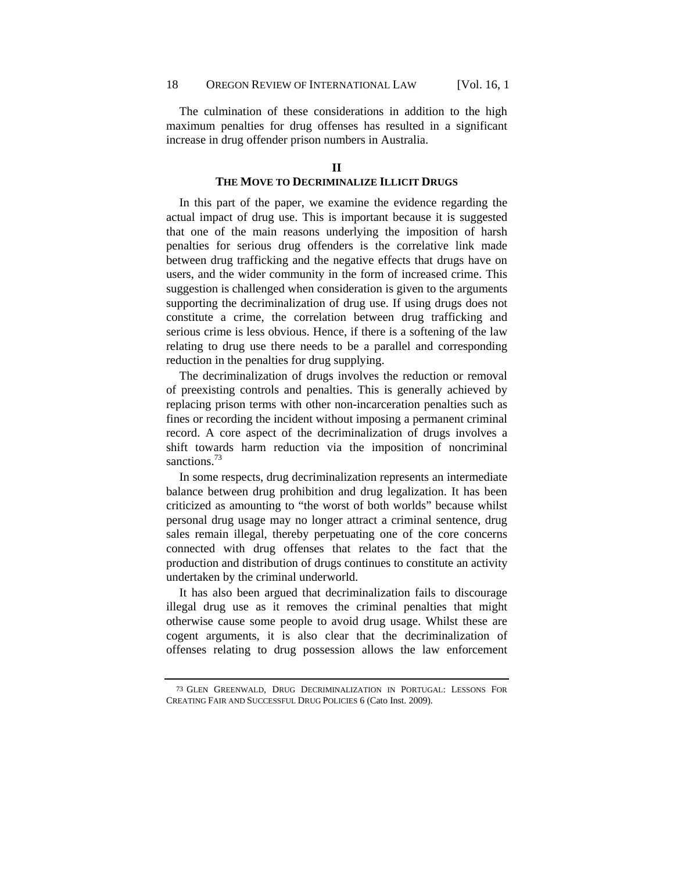The culmination of these considerations in addition to the high maximum penalties for drug offenses has resulted in a significant increase in drug offender prison numbers in Australia.

## **THE MOVE TO DECRIMINALIZE ILLICIT DRUGS**

In this part of the paper, we examine the evidence regarding the actual impact of drug use. This is important because it is suggested that one of the main reasons underlying the imposition of harsh penalties for serious drug offenders is the correlative link made between drug trafficking and the negative effects that drugs have on users, and the wider community in the form of increased crime. This suggestion is challenged when consideration is given to the arguments supporting the decriminalization of drug use. If using drugs does not constitute a crime, the correlation between drug trafficking and serious crime is less obvious. Hence, if there is a softening of the law relating to drug use there needs to be a parallel and corresponding reduction in the penalties for drug supplying.

The decriminalization of drugs involves the reduction or removal of preexisting controls and penalties. This is generally achieved by replacing prison terms with other non-incarceration penalties such as fines or recording the incident without imposing a permanent criminal record. A core aspect of the decriminalization of drugs involves a shift towards harm reduction via the imposition of noncriminal sanctions.<sup>73</sup>

In some respects, drug decriminalization represents an intermediate balance between drug prohibition and drug legalization. It has been criticized as amounting to "the worst of both worlds" because whilst personal drug usage may no longer attract a criminal sentence, drug sales remain illegal, thereby perpetuating one of the core concerns connected with drug offenses that relates to the fact that the production and distribution of drugs continues to constitute an activity undertaken by the criminal underworld.

It has also been argued that decriminalization fails to discourage illegal drug use as it removes the criminal penalties that might otherwise cause some people to avoid drug usage. Whilst these are cogent arguments, it is also clear that the decriminalization of offenses relating to drug possession allows the law enforcement

<sup>73</sup> GLEN GREENWALD, DRUG DECRIMINALIZATION IN PORTUGAL: LESSONS FOR CREATING FAIR AND SUCCESSFUL DRUG POLICIES 6 (Cato Inst. 2009).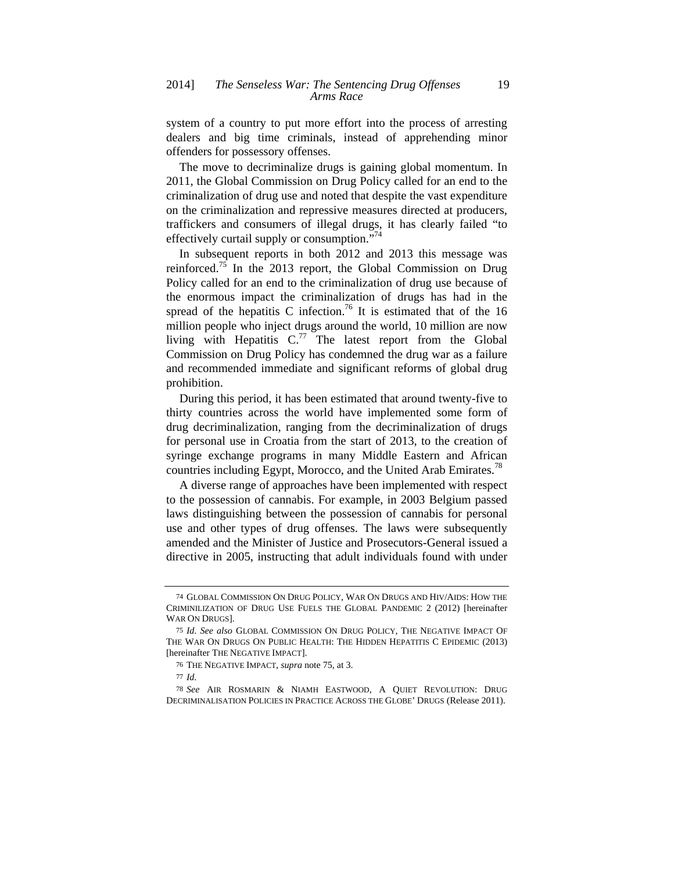system of a country to put more effort into the process of arresting dealers and big time criminals, instead of apprehending minor offenders for possessory offenses.

The move to decriminalize drugs is gaining global momentum. In 2011, the Global Commission on Drug Policy called for an end to the criminalization of drug use and noted that despite the vast expenditure on the criminalization and repressive measures directed at producers, traffickers and consumers of illegal drugs, it has clearly failed "to effectively curtail supply or consumption."<sup>74</sup>

In subsequent reports in both 2012 and 2013 this message was reinforced.<sup>75</sup> In the 2013 report, the Global Commission on Drug Policy called for an end to the criminalization of drug use because of the enormous impact the criminalization of drugs has had in the spread of the hepatitis C infection.<sup>76</sup> It is estimated that of the 16 million people who inject drugs around the world, 10 million are now living with Hepatitis  $C^{.77}$  The latest report from the Global Commission on Drug Policy has condemned the drug war as a failure and recommended immediate and significant reforms of global drug prohibition.

During this period, it has been estimated that around twenty-five to thirty countries across the world have implemented some form of drug decriminalization, ranging from the decriminalization of drugs for personal use in Croatia from the start of 2013, to the creation of syringe exchange programs in many Middle Eastern and African countries including Egypt, Morocco, and the United Arab Emirates.<sup>78</sup>

A diverse range of approaches have been implemented with respect to the possession of cannabis. For example, in 2003 Belgium passed laws distinguishing between the possession of cannabis for personal use and other types of drug offenses. The laws were subsequently amended and the Minister of Justice and Prosecutors-General issued a directive in 2005, instructing that adult individuals found with under

<sup>74</sup> GLOBAL COMMISSION ON DRUG POLICY, WAR ON DRUGS AND HIV/AIDS: HOW THE CRIMINILIZATION OF DRUG USE FUELS THE GLOBAL PANDEMIC 2 (2012) [hereinafter WAR ON DRUGS].

<sup>75</sup> *Id*. *See also* GLOBAL COMMISSION ON DRUG POLICY, THE NEGATIVE IMPACT OF THE WAR ON DRUGS ON PUBLIC HEALTH: THE HIDDEN HEPATITIS C EPIDEMIC (2013) [hereinafter THE NEGATIVE IMPACT].

<sup>76</sup> THE NEGATIVE IMPACT, *supra* note 75, at 3.

<sup>77</sup> *Id*.

<sup>78</sup> *See* AIR ROSMARIN & NIAMH EASTWOOD, A QUIET REVOLUTION: DRUG DECRIMINALISATION POLICIES IN PRACTICE ACROSS THE GLOBE' DRUGS (Release 2011).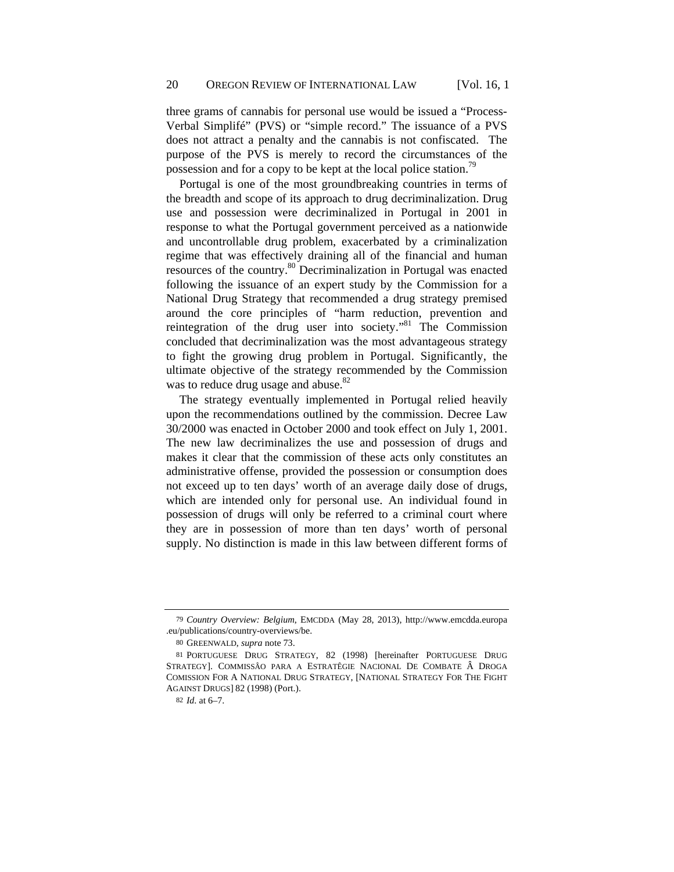three grams of cannabis for personal use would be issued a "Process-Verbal Simplifé" (PVS) or "simple record." The issuance of a PVS does not attract a penalty and the cannabis is not confiscated. The purpose of the PVS is merely to record the circumstances of the possession and for a copy to be kept at the local police station.<sup>79</sup>

Portugal is one of the most groundbreaking countries in terms of the breadth and scope of its approach to drug decriminalization. Drug use and possession were decriminalized in Portugal in 2001 in response to what the Portugal government perceived as a nationwide and uncontrollable drug problem, exacerbated by a criminalization regime that was effectively draining all of the financial and human resources of the country.80 Decriminalization in Portugal was enacted following the issuance of an expert study by the Commission for a National Drug Strategy that recommended a drug strategy premised around the core principles of "harm reduction, prevention and reintegration of the drug user into society."81 The Commission concluded that decriminalization was the most advantageous strategy to fight the growing drug problem in Portugal. Significantly, the ultimate objective of the strategy recommended by the Commission was to reduce drug usage and abuse.<sup>82</sup>

The strategy eventually implemented in Portugal relied heavily upon the recommendations outlined by the commission. Decree Law 30/2000 was enacted in October 2000 and took effect on July 1, 2001. The new law decriminalizes the use and possession of drugs and makes it clear that the commission of these acts only constitutes an administrative offense, provided the possession or consumption does not exceed up to ten days' worth of an average daily dose of drugs, which are intended only for personal use. An individual found in possession of drugs will only be referred to a criminal court where they are in possession of more than ten days' worth of personal supply. No distinction is made in this law between different forms of

<sup>79</sup> *Country Overview: Belgium*, EMCDDA (May 28, 2013), http://www.emcdda.europa .eu/publications/country-overviews/be.

<sup>80</sup> GREENWALD, *supra* note 73.

<sup>81</sup> PORTUGUESE DRUG STRATEGY, 82 (1998) [hereinafter PORTUGUESE DRUG STRATEGY]. COMMISSÂO PARA A ESTRATÊGIE NACIONAL DE COMBATE Â DROGA COMISSION FOR A NATIONAL DRUG STRATEGY, [NATIONAL STRATEGY FOR THE FIGHT AGAINST DRUGS] 82 (1998) (Port.).

<sup>82</sup> *Id*. at 6–7.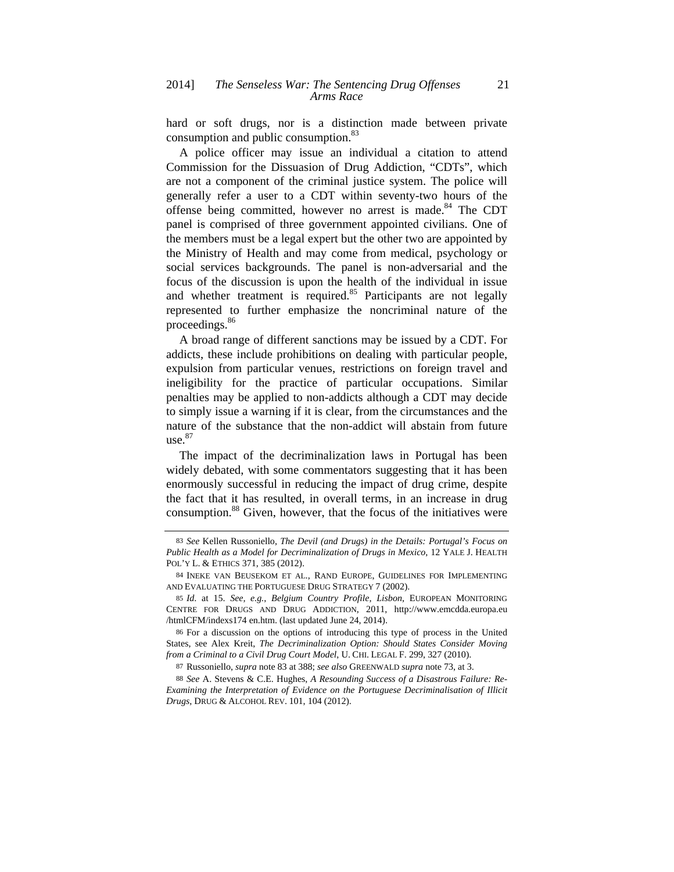hard or soft drugs, nor is a distinction made between private consumption and public consumption.<sup>83</sup>

A police officer may issue an individual a citation to attend Commission for the Dissuasion of Drug Addiction, "CDTs", which are not a component of the criminal justice system. The police will generally refer a user to a CDT within seventy-two hours of the offense being committed, however no arrest is made.<sup>84</sup> The CDT panel is comprised of three government appointed civilians. One of the members must be a legal expert but the other two are appointed by the Ministry of Health and may come from medical, psychology or social services backgrounds. The panel is non-adversarial and the focus of the discussion is upon the health of the individual in issue and whether treatment is required.<sup>85</sup> Participants are not legally represented to further emphasize the noncriminal nature of the proceedings.<sup>86</sup>

A broad range of different sanctions may be issued by a CDT. For addicts, these include prohibitions on dealing with particular people, expulsion from particular venues, restrictions on foreign travel and ineligibility for the practice of particular occupations. Similar penalties may be applied to non-addicts although a CDT may decide to simply issue a warning if it is clear, from the circumstances and the nature of the substance that the non-addict will abstain from future  $use.<sup>87</sup>$ 

The impact of the decriminalization laws in Portugal has been widely debated, with some commentators suggesting that it has been enormously successful in reducing the impact of drug crime, despite the fact that it has resulted, in overall terms, in an increase in drug consumption.<sup>88</sup> Given, however, that the focus of the initiatives were

<sup>83</sup> *See* Kellen Russoniello, *The Devil (and Drugs) in the Details: Portugal's Focus on Public Health as a Model for Decriminalization of Drugs in Mexico*, 12 YALE J. HEALTH POL'Y L. & ETHICS 371, 385 (2012).

<sup>84</sup> INEKE VAN BEUSEKOM ET AL., RAND EUROPE, GUIDELINES FOR IMPLEMENTING AND EVALUATING THE PORTUGUESE DRUG STRATEGY 7 (2002).

<sup>85</sup> *Id*. at 15. *See, e.g.*, *Belgium Country Profile, Lisbon*, EUROPEAN MONITORING CENTRE FOR DRUGS AND DRUG ADDICTION, 2011, http://www.emcdda.europa.eu /htmlCFM/indexs174 en.htm. (last updated June 24, 2014).

<sup>86</sup> For a discussion on the options of introducing this type of process in the United States, see Alex Kreit, *The Decriminalization Option: Should States Consider Moving from a Criminal to a Civil Drug Court Model*, U. CHI. LEGAL F. 299, 327 (2010).

<sup>87</sup> Russoniello, *supra* note 83 at 388; *see also* GREENWALD *supra* note 73, at 3.

<sup>88</sup> *See* A. Stevens & C.E. Hughes, *A Resounding Success of a Disastrous Failure: Re-Examining the Interpretation of Evidence on the Portuguese Decriminalisation of Illicit Drugs*, DRUG & ALCOHOL REV. 101, 104 (2012).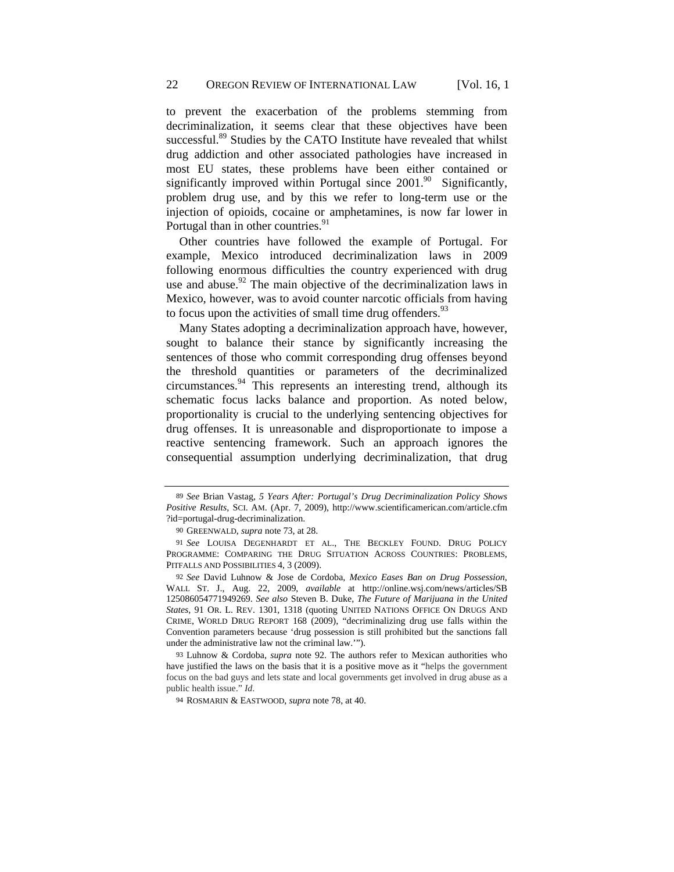to prevent the exacerbation of the problems stemming from decriminalization, it seems clear that these objectives have been successful.<sup>89</sup> Studies by the CATO Institute have revealed that whilst drug addiction and other associated pathologies have increased in most EU states, these problems have been either contained or significantly improved within Portugal since  $2001$ .<sup>90</sup> Significantly, problem drug use, and by this we refer to long-term use or the injection of opioids, cocaine or amphetamines, is now far lower in Portugal than in other countries.<sup>91</sup>

Other countries have followed the example of Portugal. For example, Mexico introduced decriminalization laws in 2009 following enormous difficulties the country experienced with drug use and abuse. $92$  The main objective of the decriminalization laws in Mexico, however, was to avoid counter narcotic officials from having to focus upon the activities of small time drug offenders.  $93$ 

Many States adopting a decriminalization approach have, however, sought to balance their stance by significantly increasing the sentences of those who commit corresponding drug offenses beyond the threshold quantities or parameters of the decriminalized  $circumstances.<sup>94</sup>$  This represents an interesting trend, although its schematic focus lacks balance and proportion. As noted below, proportionality is crucial to the underlying sentencing objectives for drug offenses. It is unreasonable and disproportionate to impose a reactive sentencing framework. Such an approach ignores the consequential assumption underlying decriminalization, that drug

<sup>89</sup> *See* Brian Vastag, *5 Years After: Portugal's Drug Decriminalization Policy Shows Positive Results*, SCI. AM. (Apr. 7, 2009), http://www.scientificamerican.com/article.cfm ?id=portugal-drug-decriminalization.

<sup>90</sup> GREENWALD, *supra* note 73, at 28.

<sup>91</sup> *See* LOUISA DEGENHARDT ET AL., THE BECKLEY FOUND. DRUG POLICY PROGRAMME: COMPARING THE DRUG SITUATION ACROSS COUNTRIES: PROBLEMS, PITFALLS AND POSSIBILITIES 4, 3 (2009).

<sup>92</sup> *See* David Luhnow & Jose de Cordoba, *Mexico Eases Ban on Drug Possession*, WALL ST. J., Aug. 22, 2009, *available* at http://online.wsj.com/news/articles/SB 125086054771949269. *See also* Steven B. Duke, *The Future of Marijuana in the United States*, 91 OR. L. REV. 1301, 1318 (quoting UNITED NATIONS OFFICE ON DRUGS AND CRIME, WORLD DRUG REPORT 168 (2009), "decriminalizing drug use falls within the Convention parameters because 'drug possession is still prohibited but the sanctions fall under the administrative law not the criminal law.'").

<sup>93</sup> Luhnow & Cordoba, *supra* note 92. The authors refer to Mexican authorities who have justified the laws on the basis that it is a positive move as it "helps the government focus on the bad guys and lets state and local governments get involved in drug abuse as a public health issue." *Id*.

<sup>94</sup> ROSMARIN & EASTWOOD, *supra* note 78, at 40.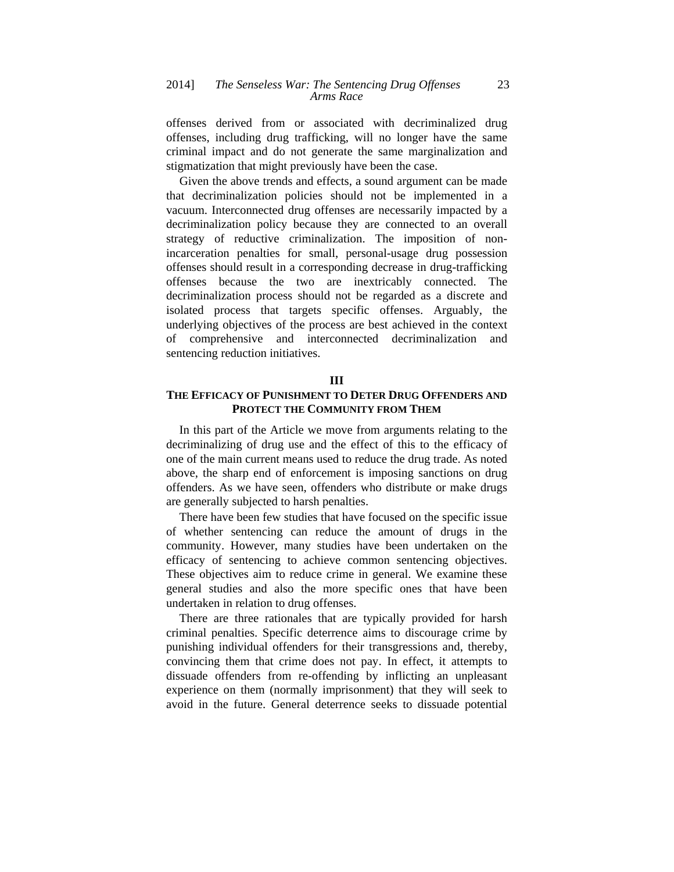offenses derived from or associated with decriminalized drug offenses, including drug trafficking, will no longer have the same criminal impact and do not generate the same marginalization and stigmatization that might previously have been the case.

Given the above trends and effects, a sound argument can be made that decriminalization policies should not be implemented in a vacuum. Interconnected drug offenses are necessarily impacted by a decriminalization policy because they are connected to an overall strategy of reductive criminalization. The imposition of nonincarceration penalties for small, personal-usage drug possession offenses should result in a corresponding decrease in drug-trafficking offenses because the two are inextricably connected. The decriminalization process should not be regarded as a discrete and isolated process that targets specific offenses. Arguably, the underlying objectives of the process are best achieved in the context of comprehensive and interconnected decriminalization and sentencing reduction initiatives.

## **III**

## **THE EFFICACY OF PUNISHMENT TO DETER DRUG OFFENDERS AND PROTECT THE COMMUNITY FROM THEM**

In this part of the Article we move from arguments relating to the decriminalizing of drug use and the effect of this to the efficacy of one of the main current means used to reduce the drug trade. As noted above, the sharp end of enforcement is imposing sanctions on drug offenders. As we have seen, offenders who distribute or make drugs are generally subjected to harsh penalties.

There have been few studies that have focused on the specific issue of whether sentencing can reduce the amount of drugs in the community. However, many studies have been undertaken on the efficacy of sentencing to achieve common sentencing objectives. These objectives aim to reduce crime in general. We examine these general studies and also the more specific ones that have been undertaken in relation to drug offenses.

There are three rationales that are typically provided for harsh criminal penalties. Specific deterrence aims to discourage crime by punishing individual offenders for their transgressions and, thereby, convincing them that crime does not pay. In effect, it attempts to dissuade offenders from re-offending by inflicting an unpleasant experience on them (normally imprisonment) that they will seek to avoid in the future. General deterrence seeks to dissuade potential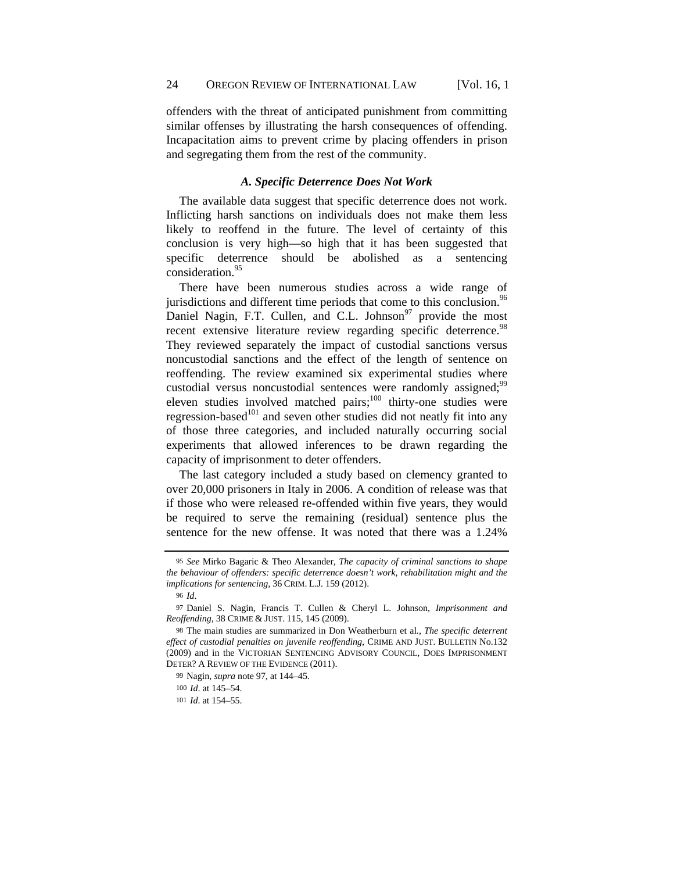offenders with the threat of anticipated punishment from committing similar offenses by illustrating the harsh consequences of offending. Incapacitation aims to prevent crime by placing offenders in prison and segregating them from the rest of the community.

## *A. Specific Deterrence Does Not Work*

The available data suggest that specific deterrence does not work. Inflicting harsh sanctions on individuals does not make them less likely to reoffend in the future. The level of certainty of this conclusion is very high—so high that it has been suggested that specific deterrence should be abolished as a sentencing consideration.<sup>95</sup>

There have been numerous studies across a wide range of jurisdictions and different time periods that come to this conclusion.<sup>96</sup> Daniel Nagin, F.T. Cullen, and C.L. Johnson $97$  provide the most recent extensive literature review regarding specific deterrence.<sup>98</sup> They reviewed separately the impact of custodial sanctions versus noncustodial sanctions and the effect of the length of sentence on reoffending. The review examined six experimental studies where custodial versus noncustodial sentences were randomly assigned;<sup>99</sup> eleven studies involved matched pairs;<sup>100</sup> thirty-one studies were regression-based $101$  and seven other studies did not neatly fit into any of those three categories, and included naturally occurring social experiments that allowed inferences to be drawn regarding the capacity of imprisonment to deter offenders.

The last category included a study based on clemency granted to over 20,000 prisoners in Italy in 2006. A condition of release was that if those who were released re-offended within five years, they would be required to serve the remaining (residual) sentence plus the sentence for the new offense. It was noted that there was a 1.24%

<sup>95</sup> *See* Mirko Bagaric & Theo Alexander, *The capacity of criminal sanctions to shape the behaviour of offenders: specific deterrence doesn't work, rehabilitation might and the implications for sentencing*, 36 CRIM. L.J. 159 (2012).

<sup>96</sup> *Id*.

<sup>97</sup> Daniel S. Nagin, Francis T. Cullen & Cheryl L. Johnson, *Imprisonment and Reoffending*, 38 CRIME & JUST. 115, 145 (2009).

<sup>98</sup> The main studies are summarized in Don Weatherburn et al., *The specific deterrent effect of custodial penalties on juvenile reoffending*, CRIME AND JUST. BULLETIN No.132 (2009) and in the VICTORIAN SENTENCING ADVISORY COUNCIL, DOES IMPRISONMENT DETER? A REVIEW OF THE EVIDENCE (2011).

<sup>99</sup> Nagin, *supra* note 97, at 144–45.

<sup>100</sup> *Id*. at 145–54.

<sup>101</sup> *Id*. at 154–55.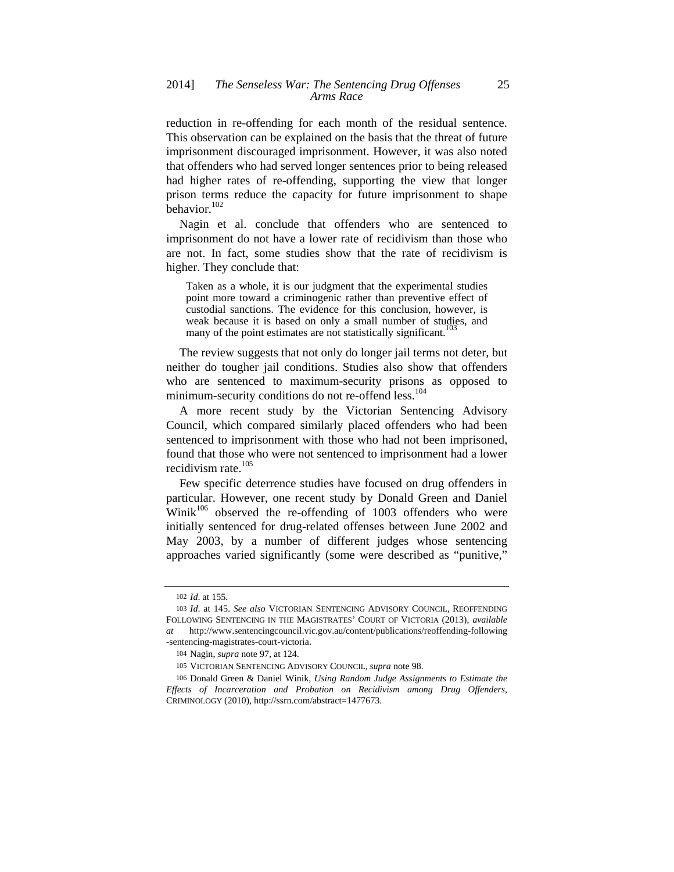reduction in re-offending for each month of the residual sentence. This observation can be explained on the basis that the threat of future imprisonment discouraged imprisonment. However, it was also noted that offenders who had served longer sentences prior to being released had higher rates of re-offending, supporting the view that longer prison terms reduce the capacity for future imprisonment to shape behavior.102

Nagin et al. conclude that offenders who are sentenced to imprisonment do not have a lower rate of recidivism than those who are not. In fact, some studies show that the rate of recidivism is higher. They conclude that:

Taken as a whole, it is our judgment that the experimental studies point more toward a criminogenic rather than preventive effect of custodial sanctions. The evidence for this conclusion, however, is weak because it is based on only a small number of studies, and many of the point estimates are not statistically significant.<sup>10</sup>

The review suggests that not only do longer jail terms not deter, but neither do tougher jail conditions. Studies also show that offenders who are sentenced to maximum-security prisons as opposed to minimum-security conditions do not re-offend less.<sup>104</sup>

A more recent study by the Victorian Sentencing Advisory Council, which compared similarly placed offenders who had been sentenced to imprisonment with those who had not been imprisoned, found that those who were not sentenced to imprisonment had a lower recidivism rate.<sup>105</sup>

Few specific deterrence studies have focused on drug offenders in particular. However, one recent study by Donald Green and Daniel  $Winit^{106}$  observed the re-offending of 1003 offenders who were initially sentenced for drug-related offenses between June 2002 and May 2003, by a number of different judges whose sentencing approaches varied significantly (some were described as "punitive,"

<sup>102</sup> *Id*. at 155.

<sup>103</sup> *Id*. at 145. *See also* VICTORIAN SENTENCING ADVISORY COUNCIL, REOFFENDING FOLLOWING SENTENCING IN THE MAGISTRATES' COURT OF VICTORIA (2013), *available at* http://www.sentencingcouncil.vic.gov.au/content/publications/reoffending-following -sentencing-magistrates-court-victoria.

<sup>104</sup> Nagin, *supra* note 97, at 124.

<sup>105</sup> VICTORIAN SENTENCING ADVISORY COUNCIL, *supra* note 98.

<sup>106</sup> Donald Green & Daniel Winik, *Using Random Judge Assignments to Estimate the Effects of Incarceration and Probation on Recidivism among Drug Offenders*, CRIMINOLOGY (2010), http://ssrn.com/abstract=1477673.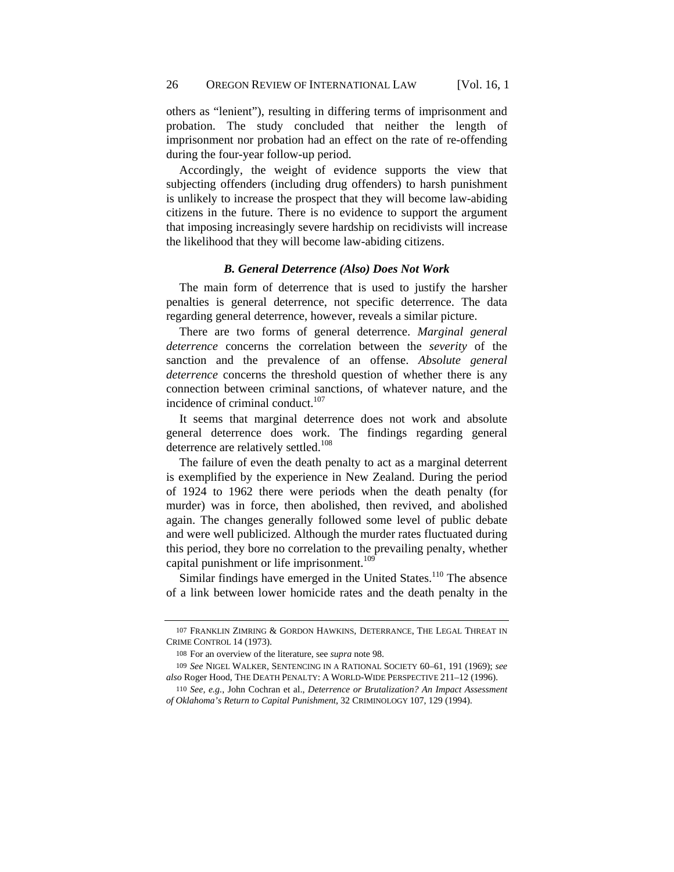others as "lenient"), resulting in differing terms of imprisonment and probation. The study concluded that neither the length of imprisonment nor probation had an effect on the rate of re-offending during the four-year follow-up period.

Accordingly, the weight of evidence supports the view that subjecting offenders (including drug offenders) to harsh punishment is unlikely to increase the prospect that they will become law-abiding citizens in the future. There is no evidence to support the argument that imposing increasingly severe hardship on recidivists will increase the likelihood that they will become law-abiding citizens.

## *B. General Deterrence (Also) Does Not Work*

The main form of deterrence that is used to justify the harsher penalties is general deterrence, not specific deterrence. The data regarding general deterrence, however, reveals a similar picture.

There are two forms of general deterrence. *Marginal general deterrence* concerns the correlation between the *severity* of the sanction and the prevalence of an offense. *Absolute general deterrence* concerns the threshold question of whether there is any connection between criminal sanctions, of whatever nature, and the incidence of criminal conduct. $107$ 

It seems that marginal deterrence does not work and absolute general deterrence does work. The findings regarding general deterrence are relatively settled.<sup>108</sup>

The failure of even the death penalty to act as a marginal deterrent is exemplified by the experience in New Zealand. During the period of 1924 to 1962 there were periods when the death penalty (for murder) was in force, then abolished, then revived, and abolished again. The changes generally followed some level of public debate and were well publicized. Although the murder rates fluctuated during this period, they bore no correlation to the prevailing penalty, whether capital punishment or life imprisonment.<sup>109</sup>

Similar findings have emerged in the United States.<sup>110</sup> The absence of a link between lower homicide rates and the death penalty in the

<sup>107</sup> FRANKLIN ZIMRING & GORDON HAWKINS, DETERRANCE, THE LEGAL THREAT IN CRIME CONTROL 14 (1973).

<sup>108</sup> For an overview of the literature, see *supra* note 98.

<sup>109</sup> *See* NIGEL WALKER, SENTENCING IN A RATIONAL SOCIETY 60–61, 191 (1969); *see also* Roger Hood, THE DEATH PENALTY: A WORLD-WIDE PERSPECTIVE 211–12 (1996).

<sup>110</sup> *See, e.g.*, John Cochran et al., *Deterrence or Brutalization? An Impact Assessment of Oklahoma's Return to Capital Punishment*, 32 CRIMINOLOGY 107, 129 (1994).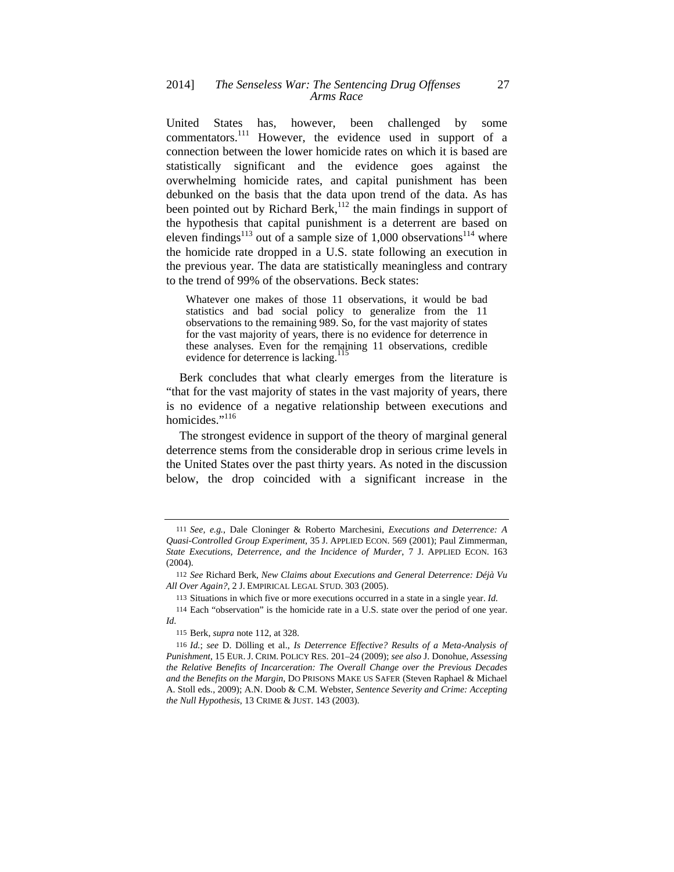United States has, however, been challenged by some commentators.<sup>111</sup> However, the evidence used in support of a connection between the lower homicide rates on which it is based are statistically significant and the evidence goes against the overwhelming homicide rates, and capital punishment has been debunked on the basis that the data upon trend of the data. As has been pointed out by Richard Berk,<sup>112</sup> the main findings in support of the hypothesis that capital punishment is a deterrent are based on eleven findings<sup>113</sup> out of a sample size of 1,000 observations<sup>114</sup> where the homicide rate dropped in a U.S. state following an execution in the previous year. The data are statistically meaningless and contrary to the trend of 99% of the observations. Beck states:

Whatever one makes of those 11 observations, it would be bad statistics and bad social policy to generalize from the 11 observations to the remaining 989. So, for the vast majority of states for the vast majority of years, there is no evidence for deterrence in these analyses. Even for the remaining 11 observations, credible evidence for deterrence is lacking.<sup>115</sup>

Berk concludes that what clearly emerges from the literature is "that for the vast majority of states in the vast majority of years, there is no evidence of a negative relationship between executions and homicides."<sup>116</sup>

The strongest evidence in support of the theory of marginal general deterrence stems from the considerable drop in serious crime levels in the United States over the past thirty years. As noted in the discussion below, the drop coincided with a significant increase in the

<sup>111</sup> *See, e.g.*, Dale Cloninger & Roberto Marchesini, *Executions and Deterrence: A Quasi-Controlled Group Experiment*, 35 J. APPLIED ECON. 569 (2001); Paul Zimmerman, *State Executions, Deterrence, and the Incidence of Murder*, 7 J. APPLIED ECON. 163 (2004).

<sup>112</sup> *See* Richard Berk, *New Claims about Executions and General Deterrence: Déjà Vu All Over Again?*, 2 J. EMPIRICAL LEGAL STUD. 303 (2005).

<sup>113</sup> Situations in which five or more executions occurred in a state in a single year. *Id*.

<sup>114</sup> Each "observation" is the homicide rate in a U.S. state over the period of one year. *Id*.

<sup>115</sup> Berk, *supra* note 112, at 328.

<sup>116</sup> *Id.*; *see* D. Dölling et al., *Is Deterrence Effective? Results of a Meta-Analysis of Punishment*, 15 EUR. J. CRIM. POLICY RES. 201–24 (2009); *see also* J. Donohue, *Assessing the Relative Benefits of Incarceration: The Overall Change over the Previous Decades and the Benefits on the Margin*, DO PRISONS MAKE US SAFER (Steven Raphael & Michael A. Stoll eds., 2009); A.N. Doob & C.M. Webster, *Sentence Severity and Crime: Accepting the Null Hypothesis*, 13 CRIME & JUST. 143 (2003).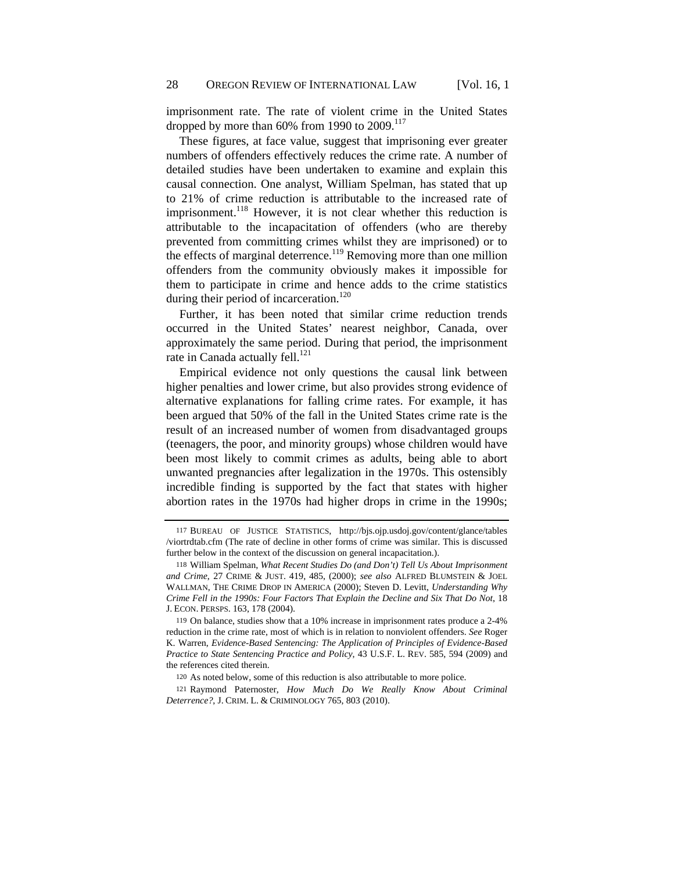imprisonment rate. The rate of violent crime in the United States dropped by more than  $60\%$  from 1990 to  $2009$ .<sup>117</sup>

These figures, at face value, suggest that imprisoning ever greater numbers of offenders effectively reduces the crime rate. A number of detailed studies have been undertaken to examine and explain this causal connection. One analyst, William Spelman, has stated that up to 21% of crime reduction is attributable to the increased rate of imprisonment.<sup>118</sup> However, it is not clear whether this reduction is attributable to the incapacitation of offenders (who are thereby prevented from committing crimes whilst they are imprisoned) or to the effects of marginal deterrence.<sup>119</sup> Removing more than one million offenders from the community obviously makes it impossible for them to participate in crime and hence adds to the crime statistics during their period of incarceration.<sup>120</sup>

Further, it has been noted that similar crime reduction trends occurred in the United States' nearest neighbor, Canada, over approximately the same period. During that period, the imprisonment rate in Canada actually fell.<sup>121</sup>

Empirical evidence not only questions the causal link between higher penalties and lower crime, but also provides strong evidence of alternative explanations for falling crime rates. For example, it has been argued that 50% of the fall in the United States crime rate is the result of an increased number of women from disadvantaged groups (teenagers, the poor, and minority groups) whose children would have been most likely to commit crimes as adults, being able to abort unwanted pregnancies after legalization in the 1970s. This ostensibly incredible finding is supported by the fact that states with higher abortion rates in the 1970s had higher drops in crime in the 1990s;

<sup>117</sup> BUREAU OF JUSTICE STATISTICS, http://bjs.ojp.usdoj.gov/content/glance/tables /viortrdtab.cfm (The rate of decline in other forms of crime was similar. This is discussed further below in the context of the discussion on general incapacitation.).

<sup>118</sup> William Spelman, *What Recent Studies Do (and Don't) Tell Us About Imprisonment and Crime*, 27 CRIME & JUST. 419, 485, (2000); *see also* ALFRED BLUMSTEIN & JOEL WALLMAN, THE CRIME DROP IN AMERICA (2000); Steven D. Levitt, *Understanding Why Crime Fell in the 1990s: Four Factors That Explain the Decline and Six That Do Not*, 18 J. ECON. PERSPS. 163, 178 (2004).

<sup>119</sup> On balance, studies show that a 10% increase in imprisonment rates produce a 2-4% reduction in the crime rate, most of which is in relation to nonviolent offenders. *See* Roger K. Warren, *Evidence-Based Sentencing: The Application of Principles of Evidence-Based Practice to State Sentencing Practice and Policy*, 43 U.S.F. L. REV. 585, 594 (2009) and the references cited therein.

<sup>120</sup> As noted below, some of this reduction is also attributable to more police.

<sup>121</sup> Raymond Paternoster, *How Much Do We Really Know About Criminal Deterrence?*, J. CRIM. L. & CRIMINOLOGY 765, 803 (2010).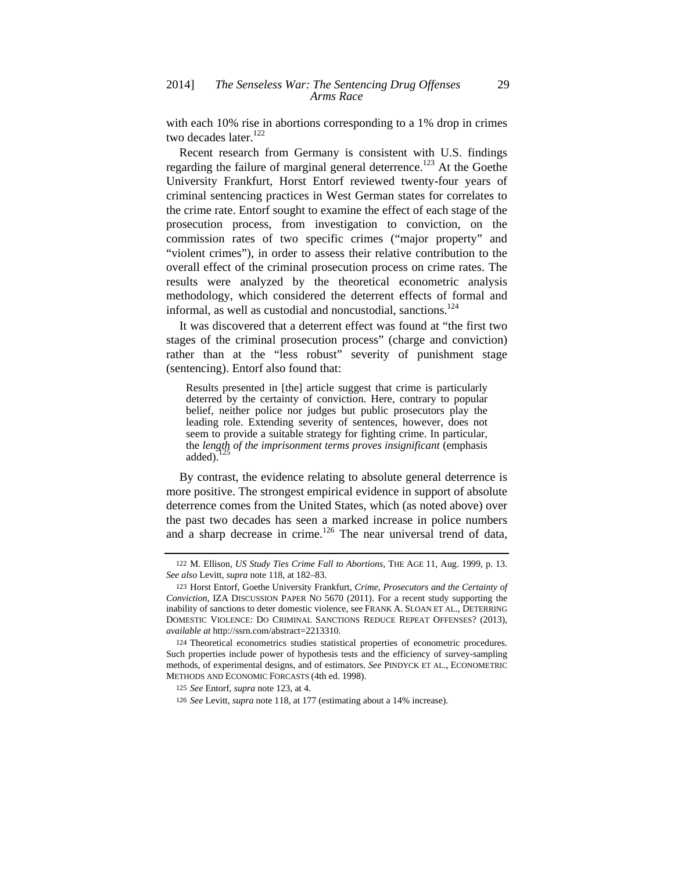with each 10% rise in abortions corresponding to a 1% drop in crimes two decades later.<sup>122</sup>

Recent research from Germany is consistent with U.S. findings regarding the failure of marginal general deterrence.<sup>123</sup> At the Goethe University Frankfurt, Horst Entorf reviewed twenty-four years of criminal sentencing practices in West German states for correlates to the crime rate. Entorf sought to examine the effect of each stage of the prosecution process, from investigation to conviction, on the commission rates of two specific crimes ("major property" and "violent crimes"), in order to assess their relative contribution to the overall effect of the criminal prosecution process on crime rates. The results were analyzed by the theoretical econometric analysis methodology, which considered the deterrent effects of formal and informal, as well as custodial and noncustodial, sanctions.<sup>124</sup>

It was discovered that a deterrent effect was found at "the first two stages of the criminal prosecution process" (charge and conviction) rather than at the "less robust" severity of punishment stage (sentencing). Entorf also found that:

Results presented in [the] article suggest that crime is particularly deterred by the certainty of conviction. Here, contrary to popular belief, neither police nor judges but public prosecutors play the leading role. Extending severity of sentences, however, does not seem to provide a suitable strategy for fighting crime. In particular, the *length of the imprisonment terms proves insignificant* (emphasis added).

By contrast, the evidence relating to absolute general deterrence is more positive. The strongest empirical evidence in support of absolute deterrence comes from the United States, which (as noted above) over the past two decades has seen a marked increase in police numbers and a sharp decrease in crime.<sup>126</sup> The near universal trend of data,

<sup>122</sup> M. Ellison, *US Study Ties Crime Fall to Abortions*, THE AGE 11, Aug. 1999, p. 13. *See also* Levitt, *supra* note 118, at 182–83.

<sup>123</sup> Horst Entorf, Goethe University Frankfurt, *Crime, Prosecutors and the Certainty of Conviction*, IZA DISCUSSION PAPER NO 5670 (2011). For a recent study supporting the inability of sanctions to deter domestic violence, see FRANK A. SLOAN ET AL., DETERRING DOMESTIC VIOLENCE: DO CRIMINAL SANCTIONS REDUCE REPEAT OFFENSES? (2013), *available at* http://ssrn.com/abstract=2213310.

<sup>124</sup> Theoretical econometrics studies statistical properties of econometric procedures. Such properties include power of hypothesis tests and the efficiency of survey-sampling methods, of experimental designs, and of estimators. *See* PINDYCK ET AL., ECONOMETRIC METHODS AND ECONOMIC FORCASTS (4th ed. 1998).

<sup>125</sup> *See* Entorf, *supra* note 123, at 4.

<sup>126</sup> *See* Levitt, *supra* note 118, at 177 (estimating about a 14% increase).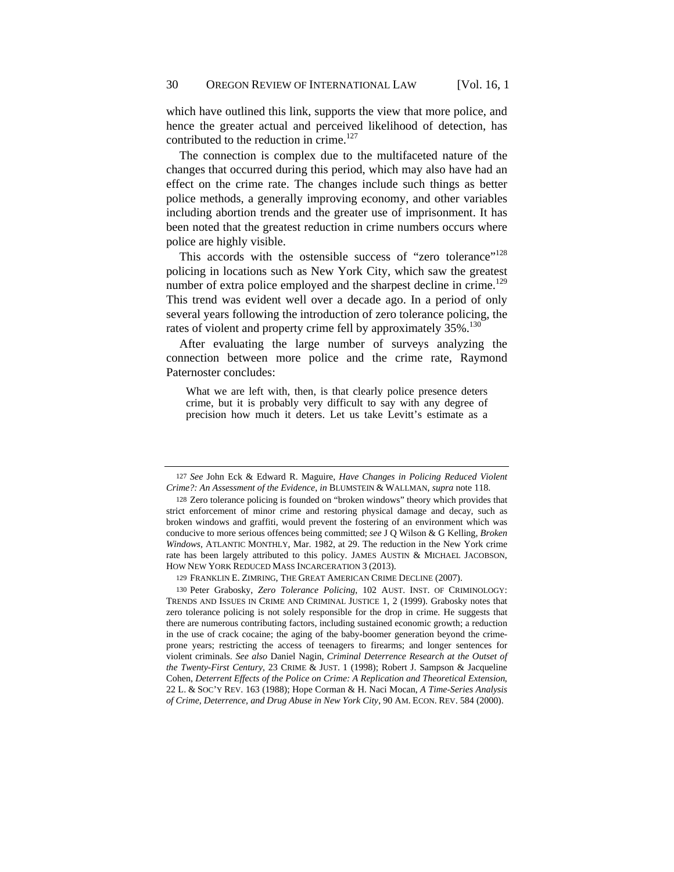which have outlined this link, supports the view that more police, and hence the greater actual and perceived likelihood of detection, has contributed to the reduction in crime.<sup>127</sup>

The connection is complex due to the multifaceted nature of the changes that occurred during this period, which may also have had an effect on the crime rate. The changes include such things as better police methods, a generally improving economy, and other variables including abortion trends and the greater use of imprisonment. It has been noted that the greatest reduction in crime numbers occurs where police are highly visible.

This accords with the ostensible success of "zero tolerance"<sup>128</sup> policing in locations such as New York City, which saw the greatest number of extra police employed and the sharpest decline in crime.<sup>129</sup> This trend was evident well over a decade ago. In a period of only several years following the introduction of zero tolerance policing, the rates of violent and property crime fell by approximately  $35\%$ .<sup>130</sup>

After evaluating the large number of surveys analyzing the connection between more police and the crime rate, Raymond Paternoster concludes:

What we are left with, then, is that clearly police presence deters crime, but it is probably very difficult to say with any degree of precision how much it deters. Let us take Levitt's estimate as a

129 FRANKLIN E. ZIMRING, THE GREAT AMERICAN CRIME DECLINE (2007).

130 Peter Grabosky, *Zero Tolerance Policing*, 102 AUST. INST. OF CRIMINOLOGY: TRENDS AND ISSUES IN CRIME AND CRIMINAL JUSTICE 1, 2 (1999). Grabosky notes that zero tolerance policing is not solely responsible for the drop in crime. He suggests that there are numerous contributing factors, including sustained economic growth; a reduction in the use of crack cocaine; the aging of the baby-boomer generation beyond the crimeprone years; restricting the access of teenagers to firearms; and longer sentences for violent criminals. *See also* Daniel Nagin, *Criminal Deterrence Research at the Outset of the Twenty-First Century*, 23 CRIME & JUST. 1 (1998); Robert J. Sampson & Jacqueline Cohen, *Deterrent Effects of the Police on Crime: A Replication and Theoretical Extension*, 22 L. & SOC'Y REV. 163 (1988); Hope Corman & H. Naci Mocan, *A Time-Series Analysis of Crime, Deterrence, and Drug Abuse in New York City*, 90 AM. ECON. REV. 584 (2000).

<sup>127</sup> *See* John Eck & Edward R. Maguire, *Have Changes in Policing Reduced Violent Crime?: An Assessment of the Evidence*, *in* BLUMSTEIN & WALLMAN, *supra* note 118.

<sup>128</sup> Zero tolerance policing is founded on "broken windows" theory which provides that strict enforcement of minor crime and restoring physical damage and decay, such as broken windows and graffiti, would prevent the fostering of an environment which was conducive to more serious offences being committed; *see* J Q Wilson & G Kelling, *Broken Windows,* ATLANTIC MONTHLY, Mar. 1982, at 29. The reduction in the New York crime rate has been largely attributed to this policy. JAMES AUSTIN & MICHAEL JACOBSON, HOW NEW YORK REDUCED MASS INCARCERATION 3 (2013).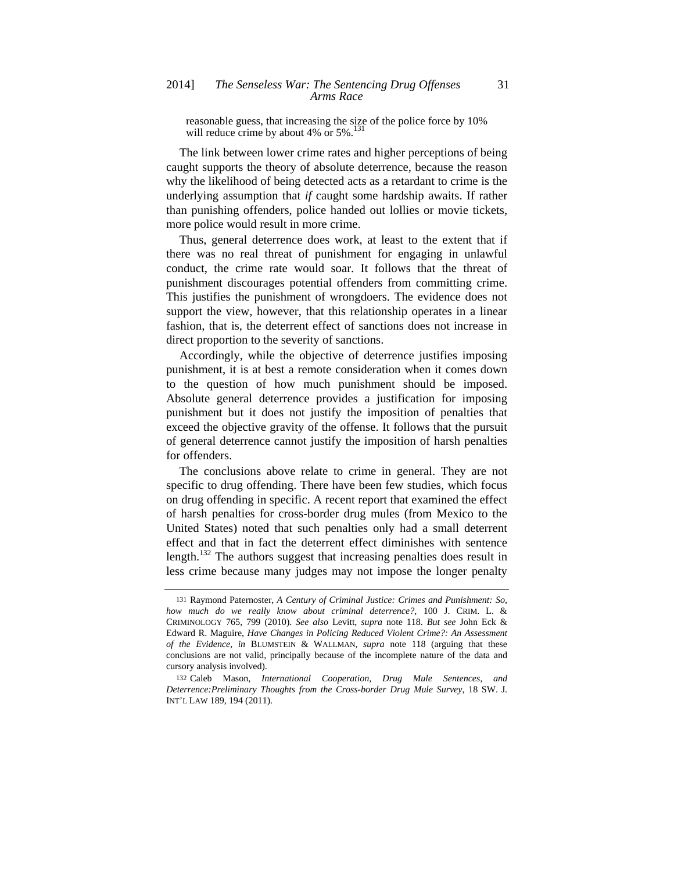reasonable guess, that increasing the size of the police force by 10% will reduce crime by about 4% or  $5\%$ .<sup>131</sup>

The link between lower crime rates and higher perceptions of being caught supports the theory of absolute deterrence, because the reason why the likelihood of being detected acts as a retardant to crime is the underlying assumption that *if* caught some hardship awaits. If rather than punishing offenders, police handed out lollies or movie tickets, more police would result in more crime.

Thus, general deterrence does work, at least to the extent that if there was no real threat of punishment for engaging in unlawful conduct, the crime rate would soar. It follows that the threat of punishment discourages potential offenders from committing crime. This justifies the punishment of wrongdoers. The evidence does not support the view, however, that this relationship operates in a linear fashion, that is, the deterrent effect of sanctions does not increase in direct proportion to the severity of sanctions.

Accordingly, while the objective of deterrence justifies imposing punishment, it is at best a remote consideration when it comes down to the question of how much punishment should be imposed. Absolute general deterrence provides a justification for imposing punishment but it does not justify the imposition of penalties that exceed the objective gravity of the offense. It follows that the pursuit of general deterrence cannot justify the imposition of harsh penalties for offenders.

The conclusions above relate to crime in general. They are not specific to drug offending. There have been few studies, which focus on drug offending in specific. A recent report that examined the effect of harsh penalties for cross-border drug mules (from Mexico to the United States) noted that such penalties only had a small deterrent effect and that in fact the deterrent effect diminishes with sentence length.<sup>132</sup> The authors suggest that increasing penalties does result in less crime because many judges may not impose the longer penalty

<sup>131</sup> Raymond Paternoster, *A Century of Criminal Justice: Crimes and Punishment: So, how much do we really know about criminal deterrence?*, 100 J. CRIM. L. & CRIMINOLOGY 765, 799 (2010). *See also* Levitt, *supra* note 118. *But see* John Eck & Edward R. Maguire, *Have Changes in Policing Reduced Violent Crime?: An Assessment of the Evidence*, *in* BLUMSTEIN & WALLMAN, *supra* note 118 (arguing that these conclusions are not valid, principally because of the incomplete nature of the data and cursory analysis involved).

<sup>132</sup> Caleb Mason, *International Cooperation, Drug Mule Sentences, and Deterrence:Preliminary Thoughts from the Cross-border Drug Mule Survey*, 18 SW. J. INT'L LAW 189, 194 (2011).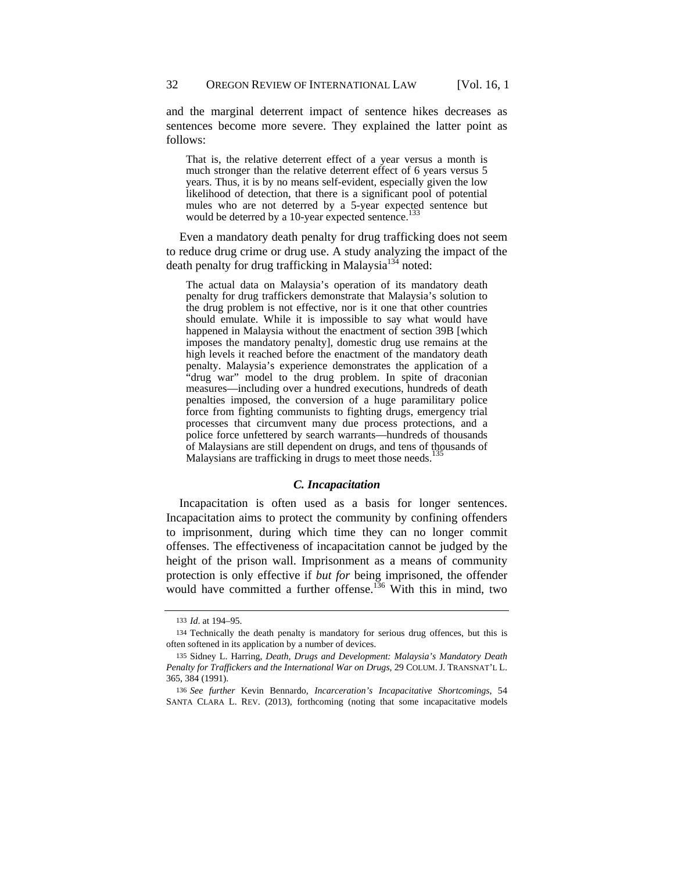and the marginal deterrent impact of sentence hikes decreases as sentences become more severe. They explained the latter point as follows:

That is, the relative deterrent effect of a year versus a month is much stronger than the relative deterrent effect of 6 years versus 5 years. Thus, it is by no means self-evident, especially given the low likelihood of detection, that there is a significant pool of potential mules who are not deterred by a 5-year expected sentence but would be deterred by a 10-year expected sentence.<sup>13</sup>

Even a mandatory death penalty for drug trafficking does not seem to reduce drug crime or drug use. A study analyzing the impact of the death penalty for drug trafficking in Malaysia<sup>134</sup> noted:

The actual data on Malaysia's operation of its mandatory death penalty for drug traffickers demonstrate that Malaysia's solution to the drug problem is not effective, nor is it one that other countries should emulate. While it is impossible to say what would have happened in Malaysia without the enactment of section 39B [which imposes the mandatory penalty], domestic drug use remains at the high levels it reached before the enactment of the mandatory death penalty. Malaysia's experience demonstrates the application of a "drug war" model to the drug problem. In spite of draconian measures—including over a hundred executions, hundreds of death penalties imposed, the conversion of a huge paramilitary police force from fighting communists to fighting drugs, emergency trial processes that circumvent many due process protections, and a police force unfettered by search warrants—hundreds of thousands of Malaysians are still dependent on drugs, and tens of thousands of Malaysians are trafficking in drugs to meet those needs.<sup>135</sup>

#### *C. Incapacitation*

Incapacitation is often used as a basis for longer sentences. Incapacitation aims to protect the community by confining offenders to imprisonment, during which time they can no longer commit offenses. The effectiveness of incapacitation cannot be judged by the height of the prison wall. Imprisonment as a means of community protection is only effective if *but for* being imprisoned, the offender would have committed a further offense.<sup>136</sup> With this in mind, two

<sup>133</sup> *Id*. at 194–95.

<sup>134</sup> Technically the death penalty is mandatory for serious drug offences, but this is often softened in its application by a number of devices.

<sup>135</sup> Sidney L. Harring, *Death, Drugs and Development: Malaysia's Mandatory Death Penalty for Traffickers and the International War on Drugs*, 29 COLUM. J. TRANSNAT'L L. 365, 384 (1991).

<sup>136</sup> *See further* Kevin Bennardo, *Incarceration's Incapacitative Shortcomings*, 54 SANTA CLARA L. REV. (2013), forthcoming (noting that some incapacitative models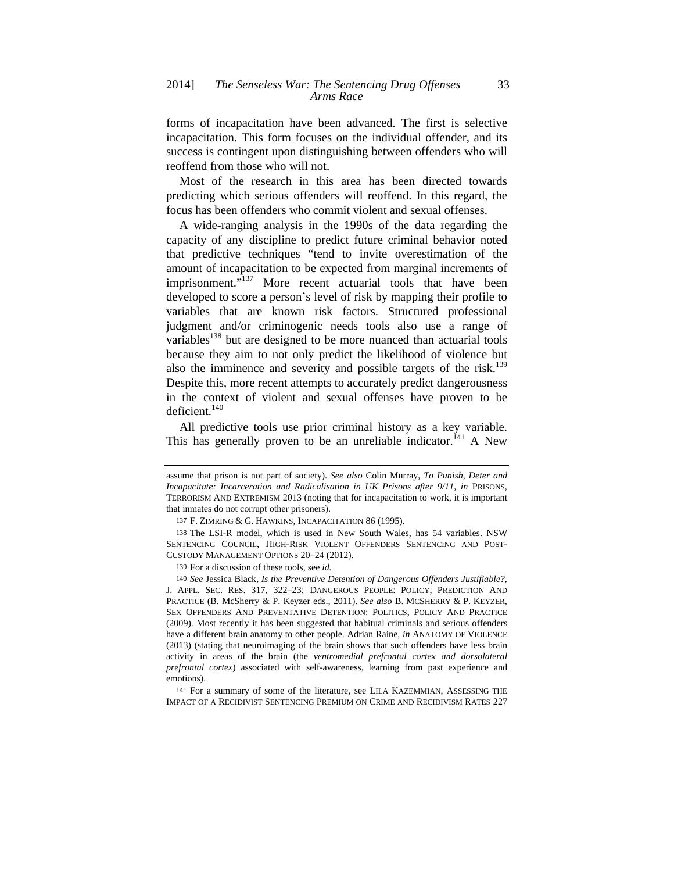forms of incapacitation have been advanced. The first is selective incapacitation. This form focuses on the individual offender, and its success is contingent upon distinguishing between offenders who will reoffend from those who will not.

Most of the research in this area has been directed towards predicting which serious offenders will reoffend. In this regard, the focus has been offenders who commit violent and sexual offenses.

A wide-ranging analysis in the 1990s of the data regarding the capacity of any discipline to predict future criminal behavior noted that predictive techniques "tend to invite overestimation of the amount of incapacitation to be expected from marginal increments of imprisonment."<sup>137</sup> More recent actuarial tools that have been developed to score a person's level of risk by mapping their profile to variables that are known risk factors. Structured professional judgment and/or criminogenic needs tools also use a range of variables<sup>138</sup> but are designed to be more nuanced than actuarial tools because they aim to not only predict the likelihood of violence but also the imminence and severity and possible targets of the risk.<sup>139</sup> Despite this, more recent attempts to accurately predict dangerousness in the context of violent and sexual offenses have proven to be deficient.<sup>140</sup>

All predictive tools use prior criminal history as a key variable. This has generally proven to be an unreliable indicator.<sup>141</sup> A New

141 For a summary of some of the literature, see LILA KAZEMMIAN, ASSESSING THE IMPACT OF A RECIDIVIST SENTENCING PREMIUM ON CRIME AND RECIDIVISM RATES 227

assume that prison is not part of society). *See also* Colin Murray, *To Punish, Deter and Incapacitate: Incarceration and Radicalisation in UK Prisons after 9/11*, *in* PRISONS, TERRORISM AND EXTREMISM 2013 (noting that for incapacitation to work, it is important that inmates do not corrupt other prisoners).

<sup>137</sup> F. ZIMRING & G. HAWKINS, INCAPACITATION 86 (1995).

<sup>138</sup> The LSI-R model, which is used in New South Wales, has 54 variables. NSW SENTENCING COUNCIL, HIGH-RISK VIOLENT OFFENDERS SENTENCING AND POST-CUSTODY MANAGEMENT OPTIONS 20–24 (2012).

<sup>139</sup> For a discussion of these tools, see *id.*

<sup>140</sup> *See* Jessica Black, *Is the Preventive Detention of Dangerous Offenders Justifiable?*, J. APPL. SEC. RES. 317, 322–23; DANGEROUS PEOPLE: POLICY, PREDICTION AND PRACTICE (B. McSherry & P. Keyzer eds., 2011). *See also* B. MCSHERRY & P. KEYZER, SEX OFFENDERS AND PREVENTATIVE DETENTION: POLITICS, POLICY AND PRACTICE (2009). Most recently it has been suggested that habitual criminals and serious offenders have a different brain anatomy to other people. Adrian Raine, *in* ANATOMY OF VIOLENCE (2013) (stating that neuroimaging of the brain shows that such offenders have less brain activity in areas of the brain (the *ventromedial prefrontal cortex and dorsolateral prefrontal cortex*) associated with self-awareness, learning from past experience and emotions).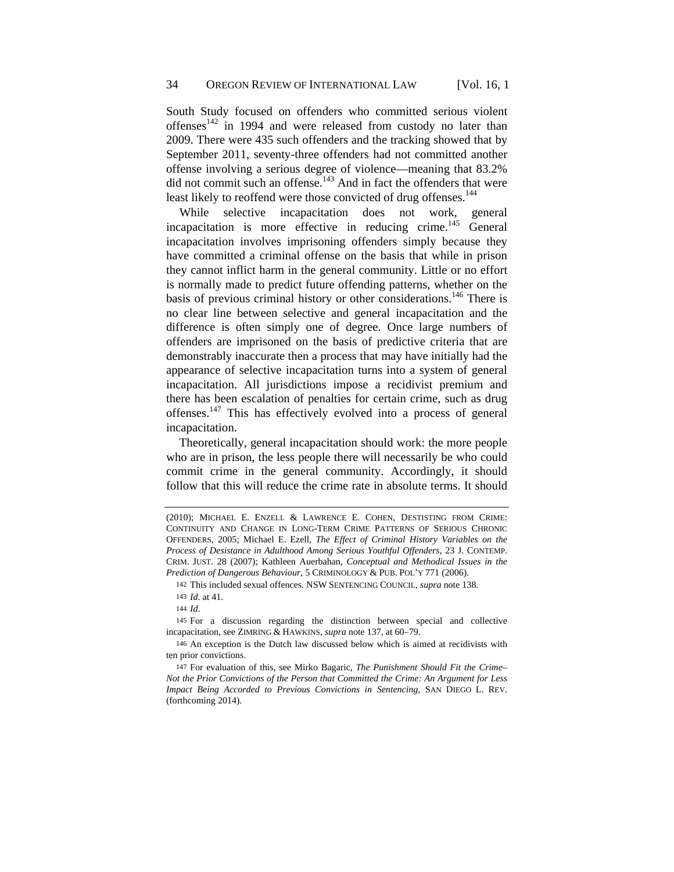South Study focused on offenders who committed serious violent offenses<sup>142</sup> in 1994 and were released from custody no later than 2009. There were 435 such offenders and the tracking showed that by September 2011, seventy-three offenders had not committed another offense involving a serious degree of violence—meaning that 83.2% did not commit such an offense.<sup>143</sup> And in fact the offenders that were least likely to reoffend were those convicted of drug offenses.<sup>144</sup>

While selective incapacitation does not work, general incapacitation is more effective in reducing crime.<sup>145</sup> General incapacitation involves imprisoning offenders simply because they have committed a criminal offense on the basis that while in prison they cannot inflict harm in the general community. Little or no effort is normally made to predict future offending patterns, whether on the basis of previous criminal history or other considerations.<sup>146</sup> There is no clear line between selective and general incapacitation and the difference is often simply one of degree. Once large numbers of offenders are imprisoned on the basis of predictive criteria that are demonstrably inaccurate then a process that may have initially had the appearance of selective incapacitation turns into a system of general incapacitation. All jurisdictions impose a recidivist premium and there has been escalation of penalties for certain crime, such as drug offenses.147 This has effectively evolved into a process of general incapacitation.

Theoretically, general incapacitation should work: the more people who are in prison, the less people there will necessarily be who could commit crime in the general community. Accordingly, it should follow that this will reduce the crime rate in absolute terms. It should

<sup>(2010);</sup> MICHAEL E. ENZELL & LAWRENCE E. COHEN, DESTISTING FROM CRIME: CONTINUITY AND CHANGE IN LONG-TERM CRIME PATTERNS OF SERIOUS CHRONIC OFFENDERS, 2005; Michael E. Ezell, *The Effect of Criminal History Variables on the Process of Desistance in Adulthood Among Serious Youthful Offenders*, 23 J. CONTEMP. CRIM. JUST. 28 (2007); Kathleen Auerbahan, *Conceptual and Methodical Issues in the Prediction of Dangerous Behaviour*, 5 CRIMINOLOGY & PUB. POL'Y 771 (2006).

<sup>142</sup> This included sexual offences. NSW SENTENCING COUNCIL, *supra* note 138.

<sup>143</sup> *Id*. at 41.

<sup>144</sup> *Id*.

<sup>145</sup> For a discussion regarding the distinction between special and collective incapacitation, see ZIMRING & HAWKINS, *supra* note 137, at 60–79.

<sup>146</sup> An exception is the Dutch law discussed below which is aimed at recidivists with ten prior convictions.

<sup>147</sup> For evaluation of this, see Mirko Bagaric, *The Punishment Should Fit the Crime– Not the Prior Convictions of the Person that Committed the Crime: An Argument for Less Impact Being Accorded to Previous Convictions in Sentencing*, SAN DIEGO L. REV. (forthcoming 2014).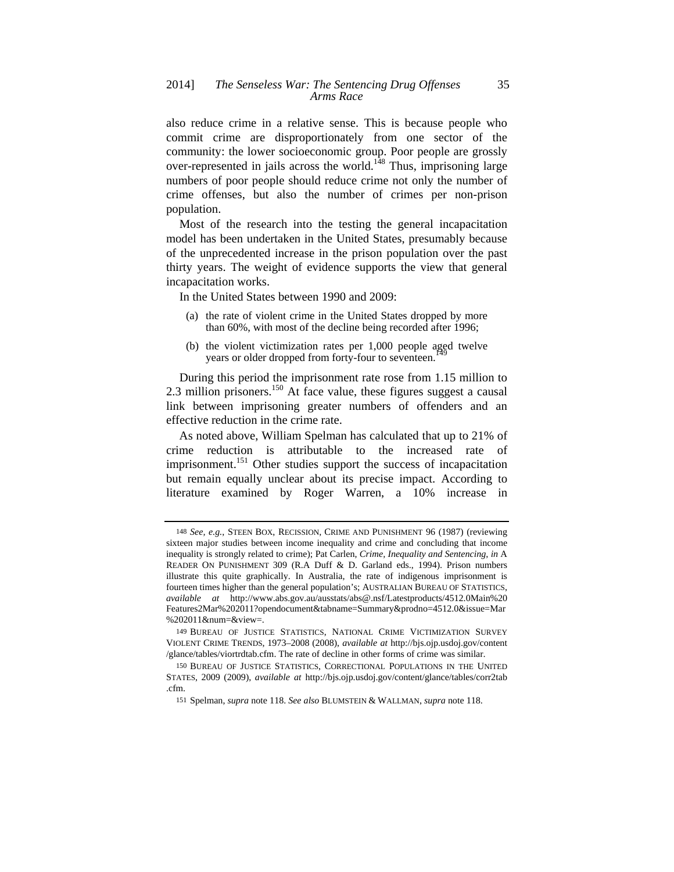also reduce crime in a relative sense. This is because people who commit crime are disproportionately from one sector of the community: the lower socioeconomic group. Poor people are grossly over-represented in jails across the world.<sup>148</sup> Thus, imprisoning large numbers of poor people should reduce crime not only the number of crime offenses, but also the number of crimes per non-prison population.

Most of the research into the testing the general incapacitation model has been undertaken in the United States, presumably because of the unprecedented increase in the prison population over the past thirty years. The weight of evidence supports the view that general incapacitation works.

In the United States between 1990 and 2009:

- (a) the rate of violent crime in the United States dropped by more than 60%, with most of the decline being recorded after 1996;
- (b) the violent victimization rates per 1,000 people aged twelve years or older dropped from forty-four to seventeen.

During this period the imprisonment rate rose from 1.15 million to 2.3 million prisoners.<sup>150</sup> At face value, these figures suggest a causal link between imprisoning greater numbers of offenders and an effective reduction in the crime rate.

As noted above, William Spelman has calculated that up to 21% of crime reduction is attributable to the increased rate of imprisonment.<sup>151</sup> Other studies support the success of incapacitation but remain equally unclear about its precise impact. According to literature examined by Roger Warren, a 10% increase in

<sup>148</sup> *See, e.g.*, STEEN BOX, RECISSION, CRIME AND PUNISHMENT 96 (1987) (reviewing sixteen major studies between income inequality and crime and concluding that income inequality is strongly related to crime); Pat Carlen, *Crime, Inequality and Sentencing*, *in* A READER ON PUNISHMENT 309 (R.A Duff & D. Garland eds., 1994). Prison numbers illustrate this quite graphically. In Australia, the rate of indigenous imprisonment is fourteen times higher than the general population's; AUSTRALIAN BUREAU OF STATISTICS, *available at* http://www.abs.gov.au/ausstats/abs@.nsf/Latestproducts/4512.0Main%20 Features2Mar%202011?opendocument&tabname=Summary&prodno=4512.0&issue=Mar %202011&num=&view=.

<sup>149</sup> BUREAU OF JUSTICE STATISTICS, NATIONAL CRIME VICTIMIZATION SURVEY VIOLENT CRIME TRENDS, 1973–2008 (2008), *available at* http://bjs.ojp.usdoj.gov/content /glance/tables/viortrdtab.cfm. The rate of decline in other forms of crime was similar.

<sup>150</sup> BUREAU OF JUSTICE STATISTICS, CORRECTIONAL POPULATIONS IN THE UNITED STATES, 2009 (2009), *available at* http://bjs.ojp.usdoj.gov/content/glance/tables/corr2tab .cfm.

<sup>151</sup> Spelman, *supra* note 118. *See also* BLUMSTEIN & WALLMAN, *supra* note 118.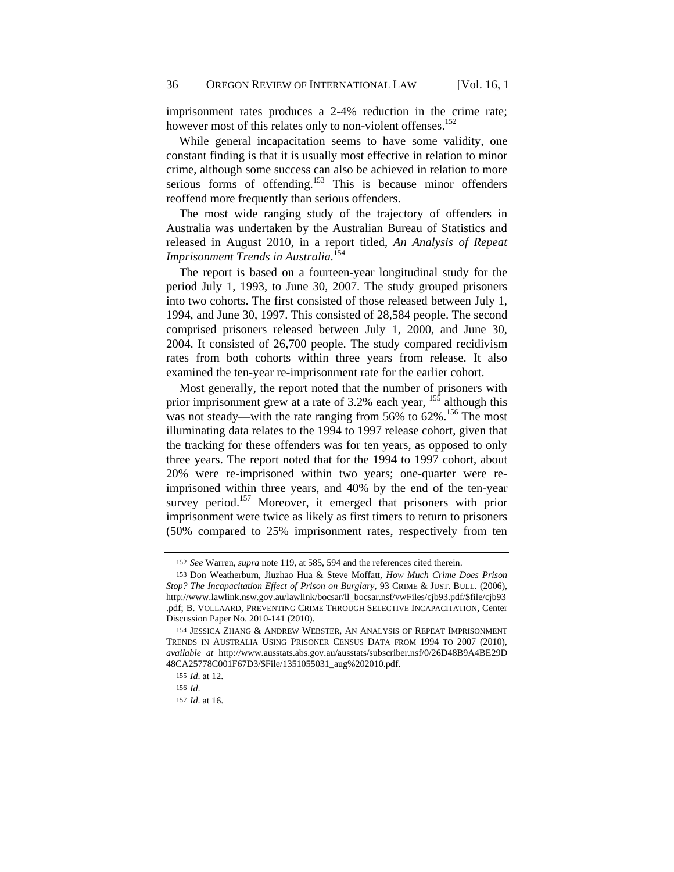imprisonment rates produces a 2-4% reduction in the crime rate; however most of this relates only to non-violent offenses.<sup>152</sup>

While general incapacitation seems to have some validity, one constant finding is that it is usually most effective in relation to minor crime, although some success can also be achieved in relation to more serious forms of offending.<sup>153</sup> This is because minor offenders reoffend more frequently than serious offenders.

The most wide ranging study of the trajectory of offenders in Australia was undertaken by the Australian Bureau of Statistics and released in August 2010, in a report titled, *An Analysis of Repeat Imprisonment Trends in Australia.*<sup>154</sup>

The report is based on a fourteen-year longitudinal study for the period July 1, 1993, to June 30, 2007. The study grouped prisoners into two cohorts. The first consisted of those released between July 1, 1994, and June 30, 1997. This consisted of 28,584 people. The second comprised prisoners released between July 1, 2000, and June 30, 2004. It consisted of 26,700 people. The study compared recidivism rates from both cohorts within three years from release. It also examined the ten-year re-imprisonment rate for the earlier cohort.

Most generally, the report noted that the number of prisoners with prior imprisonment grew at a rate of 3.2% each year,  $15\frac{1}{5}$  although this was not steady—with the rate ranging from 56% to 62%.<sup>156</sup> The most illuminating data relates to the 1994 to 1997 release cohort, given that the tracking for these offenders was for ten years, as opposed to only three years. The report noted that for the 1994 to 1997 cohort, about 20% were re-imprisoned within two years; one-quarter were reimprisoned within three years, and 40% by the end of the ten-year survey period.<sup>157</sup> Moreover, it emerged that prisoners with prior imprisonment were twice as likely as first timers to return to prisoners (50% compared to 25% imprisonment rates, respectively from ten

<sup>152</sup> *See* Warren, *supra* note 119, at 585, 594 and the references cited therein.

<sup>153</sup> Don Weatherburn, Jiuzhao Hua & Steve Moffatt, *How Much Crime Does Prison Stop? The Incapacitation Effect of Prison on Burglary*, 93 CRIME & JUST. BULL. (2006), http://www.lawlink.nsw.gov.au/lawlink/bocsar/ll\_bocsar.nsf/vwFiles/cjb93.pdf/\$file/cjb93 .pdf; B. VOLLAARD, PREVENTING CRIME THROUGH SELECTIVE INCAPACITATION, Center Discussion Paper No. 2010-141 (2010).

<sup>154</sup> JESSICA ZHANG & ANDREW WEBSTER, AN ANALYSIS OF REPEAT IMPRISONMENT TRENDS IN AUSTRALIA USING PRISONER CENSUS DATA FROM 1994 TO 2007 (2010), *available at* http://www.ausstats.abs.gov.au/ausstats/subscriber.nsf/0/26D48B9A4BE29D 48CA25778C001F67D3/\$File/1351055031\_aug%202010.pdf.

<sup>155</sup> *Id*. at 12.

<sup>156</sup> *Id*.

<sup>157</sup> *Id*. at 16.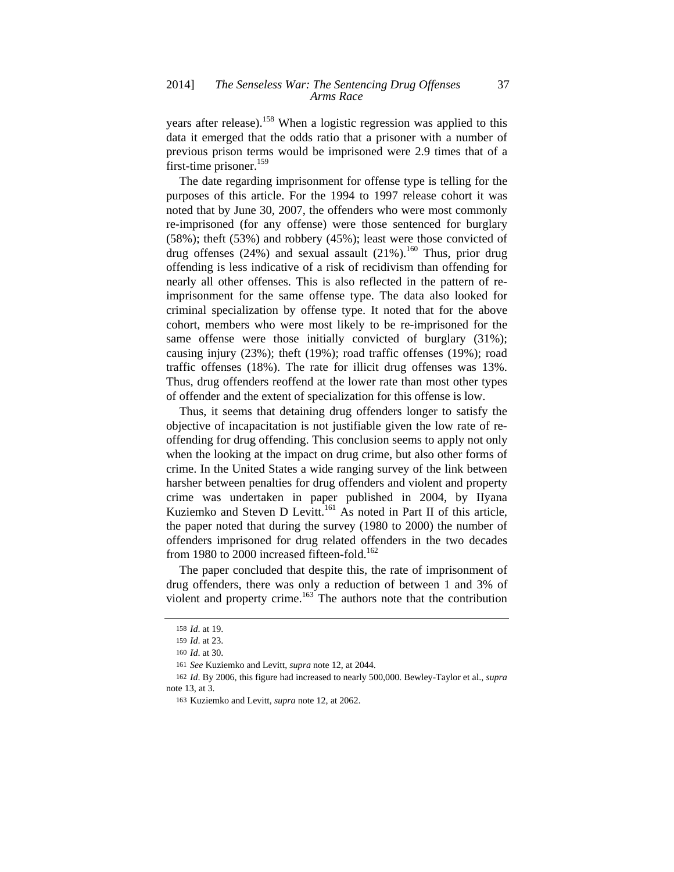years after release).<sup>158</sup> When a logistic regression was applied to this data it emerged that the odds ratio that a prisoner with a number of previous prison terms would be imprisoned were 2.9 times that of a first-time prisoner.<sup>159</sup>

The date regarding imprisonment for offense type is telling for the purposes of this article. For the 1994 to 1997 release cohort it was noted that by June 30, 2007, the offenders who were most commonly re-imprisoned (for any offense) were those sentenced for burglary (58%); theft (53%) and robbery (45%); least were those convicted of drug offenses (24%) and sexual assault (21%).<sup>160</sup> Thus, prior drug offending is less indicative of a risk of recidivism than offending for nearly all other offenses. This is also reflected in the pattern of reimprisonment for the same offense type. The data also looked for criminal specialization by offense type. It noted that for the above cohort, members who were most likely to be re-imprisoned for the same offense were those initially convicted of burglary (31%); causing injury (23%); theft (19%); road traffic offenses (19%); road traffic offenses (18%). The rate for illicit drug offenses was 13%. Thus, drug offenders reoffend at the lower rate than most other types of offender and the extent of specialization for this offense is low.

Thus, it seems that detaining drug offenders longer to satisfy the objective of incapacitation is not justifiable given the low rate of reoffending for drug offending. This conclusion seems to apply not only when the looking at the impact on drug crime, but also other forms of crime. In the United States a wide ranging survey of the link between harsher between penalties for drug offenders and violent and property crime was undertaken in paper published in 2004, by IIyana Kuziemko and Steven D Levitt.<sup>161</sup> As noted in Part II of this article, the paper noted that during the survey (1980 to 2000) the number of offenders imprisoned for drug related offenders in the two decades from 1980 to 2000 increased fifteen-fold.<sup>162</sup>

The paper concluded that despite this, the rate of imprisonment of drug offenders, there was only a reduction of between 1 and 3% of violent and property crime.<sup>163</sup> The authors note that the contribution

<sup>158</sup> *Id*. at 19.

<sup>159</sup> *Id*. at 23.

<sup>160</sup> *Id*. at 30.

<sup>161</sup> *See* Kuziemko and Levitt, *supra* note 12, at 2044.

<sup>162</sup> *Id*. By 2006, this figure had increased to nearly 500,000. Bewley-Taylor et al., *supra*  note 13, at 3.

<sup>163</sup> Kuziemko and Levitt, *supra* note 12, at 2062.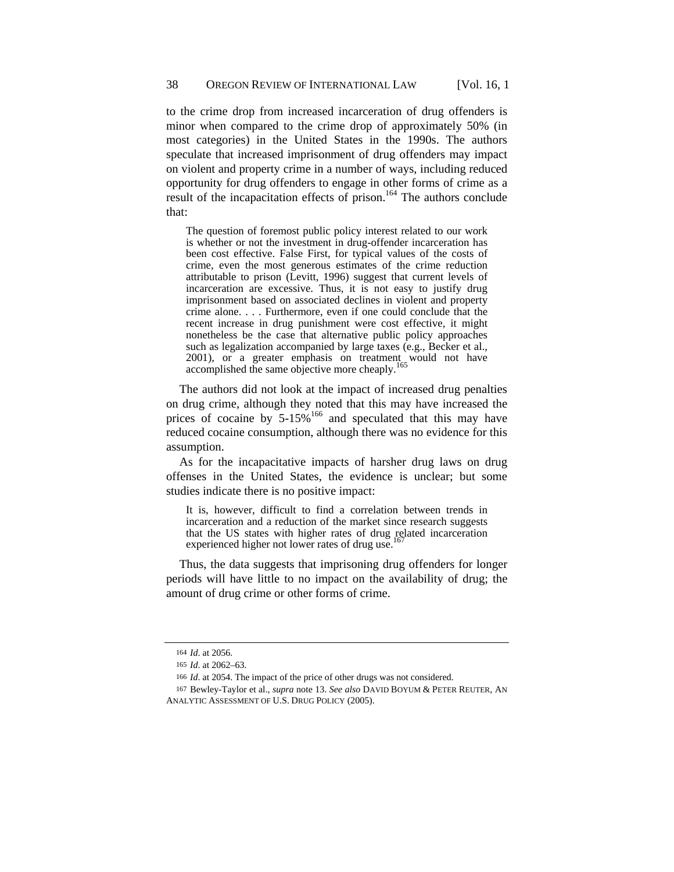to the crime drop from increased incarceration of drug offenders is minor when compared to the crime drop of approximately 50% (in most categories) in the United States in the 1990s. The authors speculate that increased imprisonment of drug offenders may impact on violent and property crime in a number of ways, including reduced opportunity for drug offenders to engage in other forms of crime as a result of the incapacitation effects of prison.<sup>164</sup> The authors conclude that:

The question of foremost public policy interest related to our work is whether or not the investment in drug-offender incarceration has been cost effective. False First, for typical values of the costs of crime, even the most generous estimates of the crime reduction attributable to prison (Levitt, 1996) suggest that current levels of incarceration are excessive. Thus, it is not easy to justify drug imprisonment based on associated declines in violent and property crime alone. . . . Furthermore, even if one could conclude that the recent increase in drug punishment were cost effective, it might nonetheless be the case that alternative public policy approaches such as legalization accompanied by large taxes (e.g., Becker et al., 2001), or a greater emphasis on treatment would not have accomplished the same objective more cheaply.<sup>1</sup>

The authors did not look at the impact of increased drug penalties on drug crime, although they noted that this may have increased the prices of cocaine by 5-15%<sup>166</sup> and speculated that this may have reduced cocaine consumption, although there was no evidence for this assumption.

As for the incapacitative impacts of harsher drug laws on drug offenses in the United States, the evidence is unclear; but some studies indicate there is no positive impact:

It is, however, difficult to find a correlation between trends in incarceration and a reduction of the market since research suggests that the US states with higher rates of drug related incarceration experienced higher not lower rates of drug use.

Thus, the data suggests that imprisoning drug offenders for longer periods will have little to no impact on the availability of drug; the amount of drug crime or other forms of crime.

<sup>164</sup> *Id*. at 2056.

<sup>165</sup> *Id*. at 2062–63.

<sup>166</sup> *Id*. at 2054. The impact of the price of other drugs was not considered.

<sup>167</sup> Bewley-Taylor et al., *supra* note 13. *See also* DAVID BOYUM & PETER REUTER, AN ANALYTIC ASSESSMENT OF U.S. DRUG POLICY (2005).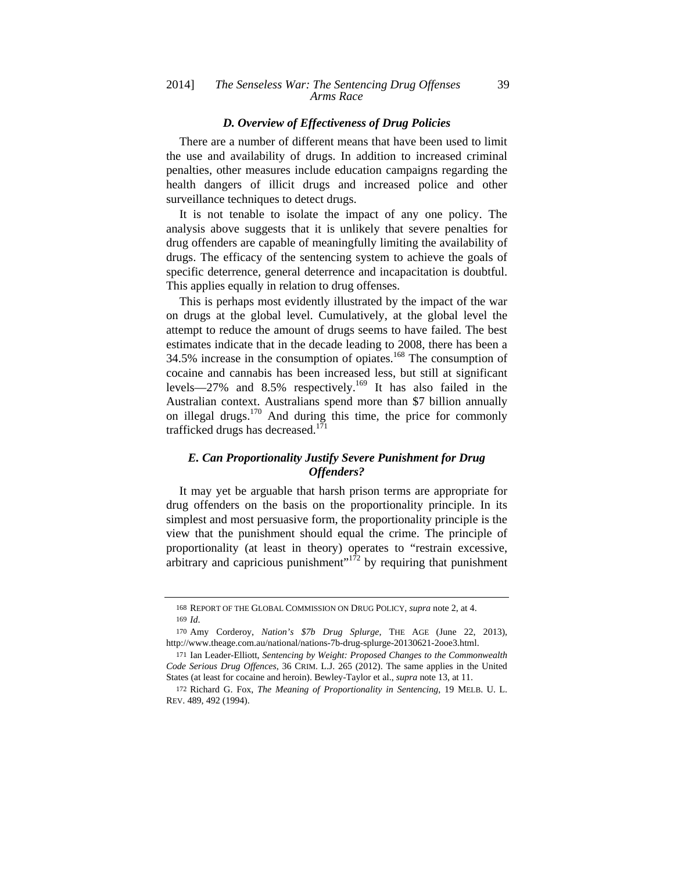#### *D. Overview of Effectiveness of Drug Policies*

There are a number of different means that have been used to limit the use and availability of drugs. In addition to increased criminal penalties, other measures include education campaigns regarding the health dangers of illicit drugs and increased police and other surveillance techniques to detect drugs.

It is not tenable to isolate the impact of any one policy. The analysis above suggests that it is unlikely that severe penalties for drug offenders are capable of meaningfully limiting the availability of drugs. The efficacy of the sentencing system to achieve the goals of specific deterrence, general deterrence and incapacitation is doubtful. This applies equally in relation to drug offenses.

This is perhaps most evidently illustrated by the impact of the war on drugs at the global level. Cumulatively, at the global level the attempt to reduce the amount of drugs seems to have failed. The best estimates indicate that in the decade leading to 2008, there has been a 34.5% increase in the consumption of opiates.168 The consumption of cocaine and cannabis has been increased less, but still at significant levels—27% and 8.5% respectively.<sup>169</sup> It has also failed in the Australian context. Australians spend more than \$7 billion annually on illegal drugs.<sup>170</sup> And during this time, the price for commonly trafficked drugs has decreased. $1^{71}$ 

## *E. Can Proportionality Justify Severe Punishment for Drug Offenders?*

It may yet be arguable that harsh prison terms are appropriate for drug offenders on the basis on the proportionality principle. In its simplest and most persuasive form, the proportionality principle is the view that the punishment should equal the crime. The principle of proportionality (at least in theory) operates to "restrain excessive, arbitrary and capricious punishment<sup> $172$ </sup> by requiring that punishment

<sup>168</sup> REPORT OF THE GLOBAL COMMISSION ON DRUG POLICY, *supra* note 2, at 4. 169 *Id*.

<sup>170</sup> Amy Corderoy, *Nation's \$7b Drug Splurge*, THE AGE (June 22, 2013), http://www.theage.com.au/national/nations-7b-drug-splurge-20130621-2ooe3.html.

<sup>171</sup> Ian Leader-Elliott, *Sentencing by Weight: Proposed Changes to the Commonwealth Code Serious Drug Offences*, 36 CRIM. L.J. 265 (2012). The same applies in the United States (at least for cocaine and heroin). Bewley-Taylor et al., *supra* note 13, at 11.

<sup>172</sup> Richard G. Fox, *The Meaning of Proportionality in Sentencing*, 19 MELB. U. L. REV. 489, 492 (1994).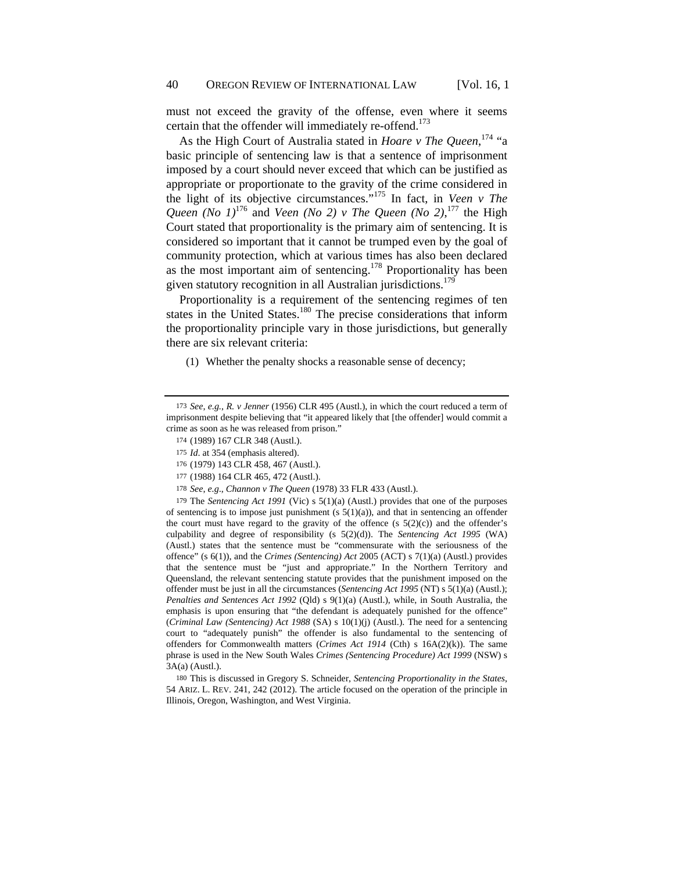must not exceed the gravity of the offense, even where it seems certain that the offender will immediately re-offend.<sup>173</sup>

As the High Court of Australia stated in *Hoare v The Queen*, 174 "a basic principle of sentencing law is that a sentence of imprisonment imposed by a court should never exceed that which can be justified as appropriate or proportionate to the gravity of the crime considered in the light of its objective circumstances."175 In fact, in *Veen v The Queen* (*No 1*)<sup>176</sup> and *Veen* (*No 2*) *v The Queen* (*No 2*),<sup>177</sup> the High Court stated that proportionality is the primary aim of sentencing. It is considered so important that it cannot be trumped even by the goal of community protection, which at various times has also been declared as the most important aim of sentencing.<sup>178</sup> Proportionality has been given statutory recognition in all Australian jurisdictions.<sup>179</sup>

Proportionality is a requirement of the sentencing regimes of ten states in the United States.<sup>180</sup> The precise considerations that inform the proportionality principle vary in those jurisdictions, but generally there are six relevant criteria:

(1) Whether the penalty shocks a reasonable sense of decency;

179 The *Sentencing Act 1991* (Vic) s 5(1)(a) (Austl.) provides that one of the purposes of sentencing is to impose just punishment (s  $5(1)(a)$ ), and that in sentencing an offender the court must have regard to the gravity of the offence (s  $5(2)(c)$ ) and the offender's culpability and degree of responsibility (s 5(2)(d)). The *Sentencing Act 1995* (WA) (Austl.) states that the sentence must be "commensurate with the seriousness of the offence" (s 6(1)), and the *Crimes (Sentencing) Act* 2005 (ACT) s 7(1)(a) (Austl.) provides that the sentence must be "just and appropriate." In the Northern Territory and Queensland, the relevant sentencing statute provides that the punishment imposed on the offender must be just in all the circumstances (*Sentencing Act 1995* (NT) s 5(1)(a) (Austl.); *Penalties and Sentences Act 1992* (Qld) s 9(1)(a) (Austl.), while, in South Australia, the emphasis is upon ensuring that "the defendant is adequately punished for the offence" (*Criminal Law (Sentencing) Act 1988* (SA) s 10(1)(j) (Austl.). The need for a sentencing court to "adequately punish" the offender is also fundamental to the sentencing of offenders for Commonwealth matters (*Crimes Act 1914* (Cth) s 16A(2)(k)). The same phrase is used in the New South Wales *Crimes (Sentencing Procedure) Act 1999* (NSW) s 3A(a) (Austl.).

180 This is discussed in Gregory S. Schneider, *Sentencing Proportionality in the States*, 54 ARIZ. L. REV. 241, 242 (2012). The article focused on the operation of the principle in Illinois, Oregon, Washington, and West Virginia.

<sup>173</sup> *See*, *e.g.*, *R. v Jenner* (1956) CLR 495 (Austl.), in which the court reduced a term of imprisonment despite believing that "it appeared likely that [the offender] would commit a crime as soon as he was released from prison."

<sup>174</sup> (1989) 167 CLR 348 (Austl.).

<sup>175</sup> *Id*. at 354 (emphasis altered).

<sup>176</sup> (1979) 143 CLR 458, 467 (Austl.).

<sup>177</sup> (1988) 164 CLR 465, 472 (Austl.).

<sup>178</sup> *See*, *e.g*., *Channon v The Queen* (1978) 33 FLR 433 (Austl.).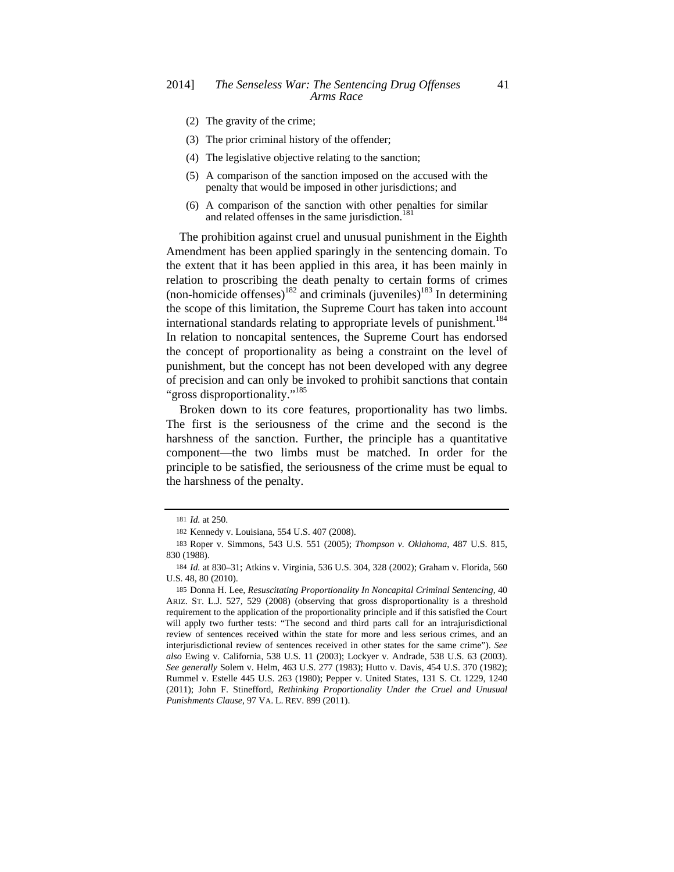- (2) The gravity of the crime;
- (3) The prior criminal history of the offender;
- (4) The legislative objective relating to the sanction;
- (5) A comparison of the sanction imposed on the accused with the penalty that would be imposed in other jurisdictions; and
- (6) A comparison of the sanction with other penalties for similar and related offenses in the same jurisdiction.<sup>181</sup>

The prohibition against cruel and unusual punishment in the Eighth Amendment has been applied sparingly in the sentencing domain. To the extent that it has been applied in this area, it has been mainly in relation to proscribing the death penalty to certain forms of crimes (non-homicide offenses)<sup>182</sup> and criminals (juveniles)<sup>183</sup> In determining the scope of this limitation, the Supreme Court has taken into account international standards relating to appropriate levels of punishment.<sup>184</sup> In relation to noncapital sentences, the Supreme Court has endorsed the concept of proportionality as being a constraint on the level of punishment, but the concept has not been developed with any degree of precision and can only be invoked to prohibit sanctions that contain "gross disproportionality."<sup>185</sup>

Broken down to its core features, proportionality has two limbs. The first is the seriousness of the crime and the second is the harshness of the sanction. Further, the principle has a quantitative component—the two limbs must be matched. In order for the principle to be satisfied, the seriousness of the crime must be equal to the harshness of the penalty.

<sup>181</sup> *Id.* at 250.

<sup>182</sup> Kennedy v. Louisiana, 554 U.S. 407 (2008).

<sup>183</sup> Roper v. Simmons, 543 U.S. 551 (2005); *Thompson v. Oklahoma*, 487 U.S. 815, 830 (1988).

<sup>184</sup> *Id.* at 830–31; Atkins v. Virginia, 536 U.S. 304, 328 (2002); Graham v. Florida, 560 U.S. 48, 80 (2010).

<sup>185</sup> Donna H. Lee, *Resuscitating Proportionality In Noncapital Criminal Sentencing,* 40 ARIZ. ST. L.J. 527, 529 (2008) (observing that gross disproportionality is a threshold requirement to the application of the proportionality principle and if this satisfied the Court will apply two further tests: "The second and third parts call for an intrajurisdictional review of sentences received within the state for more and less serious crimes, and an interjurisdictional review of sentences received in other states for the same crime"). *See also* Ewing v. California, 538 U.S. 11 (2003); Lockyer v. Andrade, 538 U.S. 63 (2003). *See generally* Solem v. Helm, 463 U.S. 277 (1983); Hutto v. Davis, 454 U.S. 370 (1982); Rummel v. Estelle 445 U.S. 263 (1980); Pepper v. United States, 131 S. Ct. 1229, 1240 (2011); John F. Stinefford, *Rethinking Proportionality Under the Cruel and Unusual Punishments Clause*, 97 VA. L. REV. 899 (2011).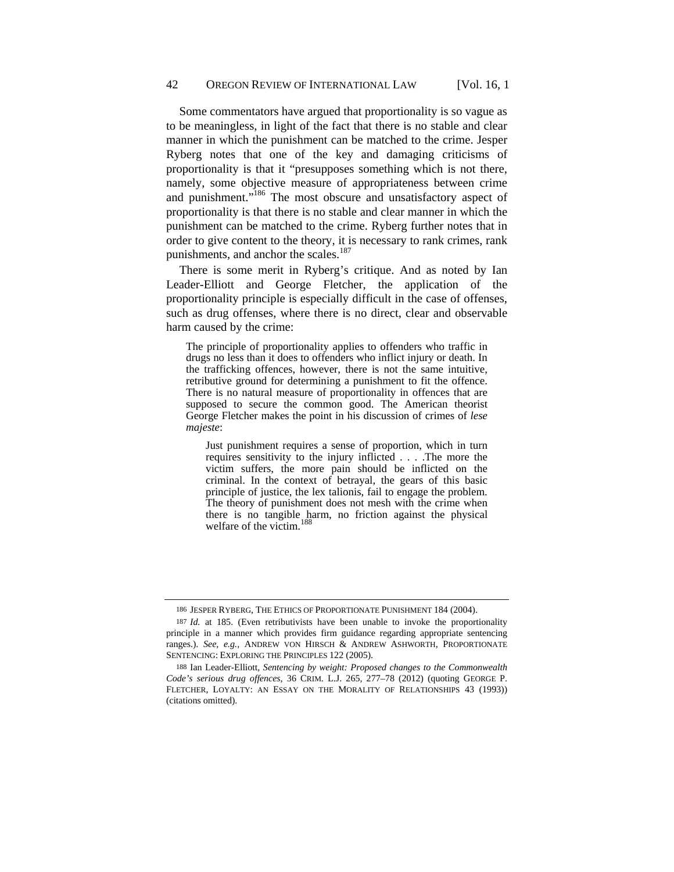Some commentators have argued that proportionality is so vague as to be meaningless, in light of the fact that there is no stable and clear manner in which the punishment can be matched to the crime. Jesper Ryberg notes that one of the key and damaging criticisms of proportionality is that it "presupposes something which is not there, namely, some objective measure of appropriateness between crime and punishment."186 The most obscure and unsatisfactory aspect of proportionality is that there is no stable and clear manner in which the punishment can be matched to the crime. Ryberg further notes that in order to give content to the theory, it is necessary to rank crimes, rank punishments, and anchor the scales.<sup>187</sup>

There is some merit in Ryberg's critique. And as noted by Ian Leader-Elliott and George Fletcher, the application of the proportionality principle is especially difficult in the case of offenses, such as drug offenses, where there is no direct, clear and observable harm caused by the crime:

The principle of proportionality applies to offenders who traffic in drugs no less than it does to offenders who inflict injury or death. In the trafficking offences, however, there is not the same intuitive, retributive ground for determining a punishment to fit the offence. There is no natural measure of proportionality in offences that are supposed to secure the common good. The American theorist George Fletcher makes the point in his discussion of crimes of *lese majeste*:

Just punishment requires a sense of proportion, which in turn requires sensitivity to the injury inflicted . . . .The more the victim suffers, the more pain should be inflicted on the criminal. In the context of betrayal, the gears of this basic principle of justice, the lex talionis, fail to engage the problem. The theory of punishment does not mesh with the crime when there is no tangible harm, no friction against the physical welfare of the victim.

<sup>186</sup> JESPER RYBERG, THE ETHICS OF PROPORTIONATE PUNISHMENT 184 (2004).

<sup>187</sup> *Id.* at 185. (Even retributivists have been unable to invoke the proportionality principle in a manner which provides firm guidance regarding appropriate sentencing ranges.). *See, e.g.*, ANDREW VON HIRSCH & ANDREW ASHWORTH, PROPORTIONATE SENTENCING: EXPLORING THE PRINCIPLES 122 (2005).

<sup>188</sup> Ian Leader-Elliott, *Sentencing by weight: Proposed changes to the Commonwealth Code's serious drug offences*, 36 CRIM. L.J. 265, 277–78 (2012) (quoting GEORGE P. FLETCHER, LOYALTY: AN ESSAY ON THE MORALITY OF RELATIONSHIPS 43 (1993)) (citations omitted).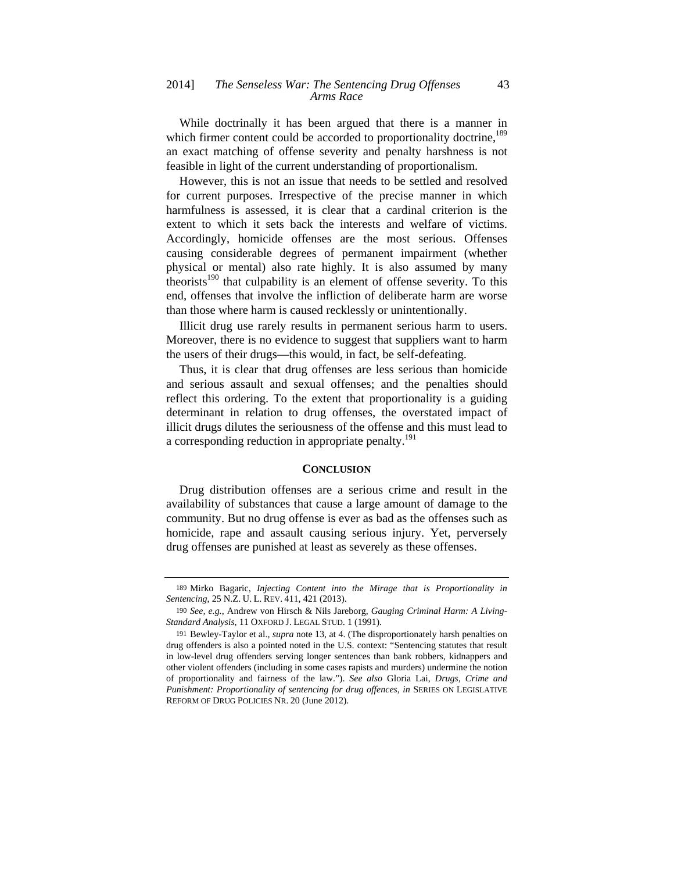While doctrinally it has been argued that there is a manner in which firmer content could be accorded to proportionality doctrine,<sup>189</sup> an exact matching of offense severity and penalty harshness is not feasible in light of the current understanding of proportionalism.

However, this is not an issue that needs to be settled and resolved for current purposes. Irrespective of the precise manner in which harmfulness is assessed, it is clear that a cardinal criterion is the extent to which it sets back the interests and welfare of victims. Accordingly, homicide offenses are the most serious. Offenses causing considerable degrees of permanent impairment (whether physical or mental) also rate highly. It is also assumed by many theorists<sup>190</sup> that culpability is an element of offense severity. To this end, offenses that involve the infliction of deliberate harm are worse than those where harm is caused recklessly or unintentionally.

Illicit drug use rarely results in permanent serious harm to users. Moreover, there is no evidence to suggest that suppliers want to harm the users of their drugs—this would, in fact, be self-defeating.

Thus, it is clear that drug offenses are less serious than homicide and serious assault and sexual offenses; and the penalties should reflect this ordering. To the extent that proportionality is a guiding determinant in relation to drug offenses, the overstated impact of illicit drugs dilutes the seriousness of the offense and this must lead to a corresponding reduction in appropriate penalty.<sup>191</sup>

#### **CONCLUSION**

Drug distribution offenses are a serious crime and result in the availability of substances that cause a large amount of damage to the community. But no drug offense is ever as bad as the offenses such as homicide, rape and assault causing serious injury. Yet, perversely drug offenses are punished at least as severely as these offenses.

<sup>189</sup> Mirko Bagaric, *Injecting Content into the Mirage that is Proportionality in Sentencing*, 25 N.Z. U. L. REV. 411, 421 (2013).

<sup>190</sup> *See, e.g.*, Andrew von Hirsch & Nils Jareborg, *Gauging Criminal Harm: A Living-Standard Analysis*, 11 OXFORD J. LEGAL STUD. 1 (1991).

<sup>191</sup> Bewley-Taylor et al., *supra* note 13, at 4. (The disproportionately harsh penalties on drug offenders is also a pointed noted in the U.S. context: "Sentencing statutes that result in low-level drug offenders serving longer sentences than bank robbers, kidnappers and other violent offenders (including in some cases rapists and murders) undermine the notion of proportionality and fairness of the law."). *See also* Gloria Lai, *Drugs, Crime and Punishment: Proportionality of sentencing for drug offences*, *in* SERIES ON LEGISLATIVE REFORM OF DRUG POLICIES NR. 20 (June 2012).